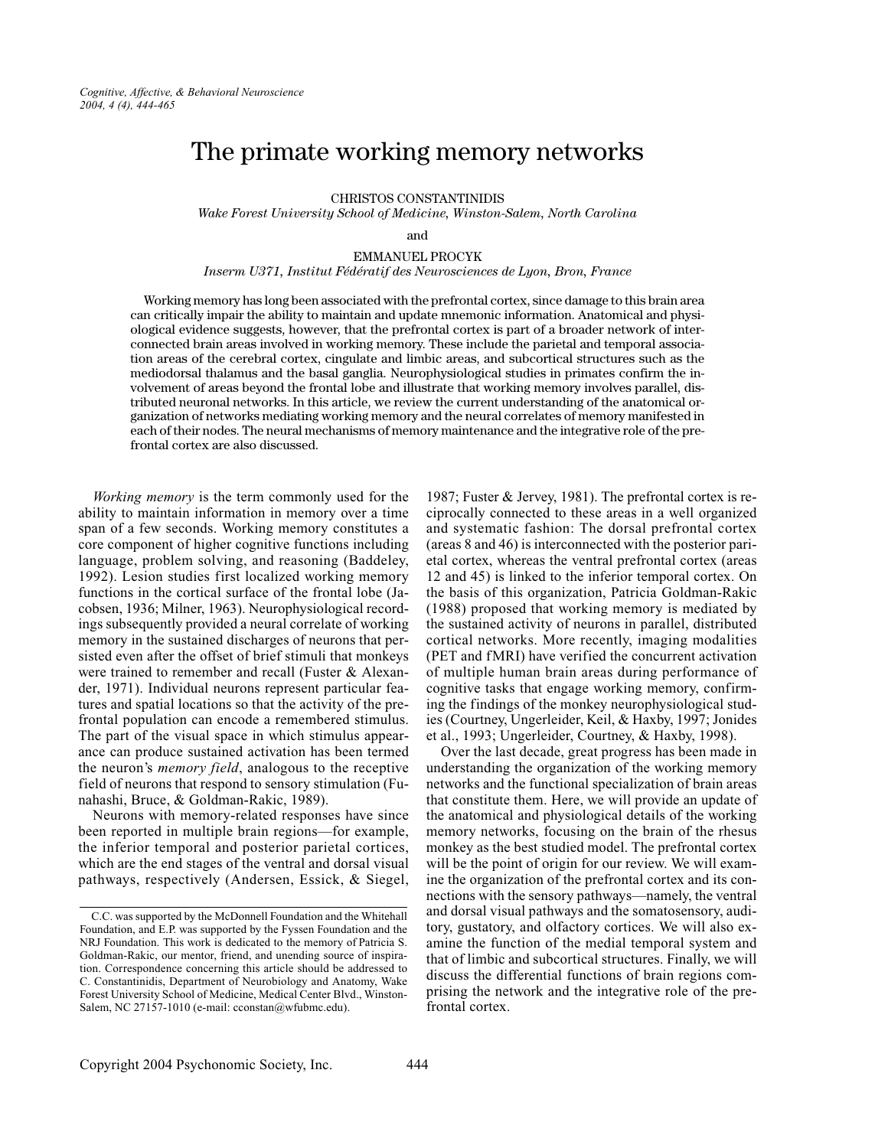# The primate working memory networks

**CHRISTOS CONSTANTINIDIS** 

Wake Forest University School of Medicine, Winston-Salem, North Carolina

and

EMMANHEL PROCYK

Inserm U371, Institut Fédératif des Neurosciences de Lyon, Bron, France

Working memory has long been associated with the prefrontal cortex, since damage to this brain area can critically impair the ability to maintain and update mnemonic information. Anatomical and physiological evidence suggests, however, that the prefrontal cortex is part of a broader network of interconnected brain areas involved in working memory. These include the parietal and temporal association areas of the cerebral cortex, cingulate and limbic areas, and subcortical structures such as the mediodorsal thalamus and the basal ganglia. Neurophysiological studies in primates confirm the involvement of areas beyond the frontal lobe and illustrate that working memory involves parallel, distributed neuronal networks. In this article, we review the current understanding of the anatomical organization of networks mediating working memory and the neural correlates of memory manifested in each of their nodes. The neural mechanisms of memory maintenance and the integrative role of the prefrontal cortex are also discussed.

Working memory is the term commonly used for the ability to maintain information in memory over a time span of a few seconds. Working memory constitutes a core component of higher cognitive functions including language, problem solving, and reasoning (Baddeley, 1992). Lesion studies first localized working memory functions in the cortical surface of the frontal lobe (Jacobsen, 1936; Milner, 1963). Neurophysiological recordings subsequently provided a neural correlate of working memory in the sustained discharges of neurons that persisted even after the offset of brief stimuli that monkeys were trained to remember and recall (Fuster & Alexander, 1971). Individual neurons represent particular features and spatial locations so that the activity of the prefrontal population can encode a remembered stimulus. The part of the visual space in which stimulus appearance can produce sustained activation has been termed the neuron's *memory field*, analogous to the receptive field of neurons that respond to sensory stimulation (Funahashi, Bruce, & Goldman-Rakic, 1989).

Neurons with memory-related responses have since been reported in multiple brain regions—for example, the inferior temporal and posterior parietal cortices, which are the end stages of the ventral and dorsal visual pathways, respectively (Andersen, Essick, & Siegel,

1987; Fuster & Jervey, 1981). The prefrontal cortex is reciprocally connected to these areas in a well organized and systematic fashion: The dorsal prefrontal cortex (areas 8 and 46) is interconnected with the posterior parietal cortex, whereas the ventral prefrontal cortex (areas 12 and 45) is linked to the inferior temporal cortex. On the basis of this organization, Patricia Goldman-Rakic (1988) proposed that working memory is mediated by the sustained activity of neurons in parallel, distributed cortical networks. More recently, imaging modalities (PET and fMRI) have verified the concurrent activation of multiple human brain areas during performance of cognitive tasks that engage working memory, confirming the findings of the monkey neurophysiological studies (Courtney, Ungerleider, Keil, & Haxby, 1997; Jonides et al., 1993; Ungerleider, Courtney, & Haxby, 1998).

Over the last decade, great progress has been made in understanding the organization of the working memory networks and the functional specialization of brain areas that constitute them. Here, we will provide an update of the anatomical and physiological details of the working memory networks, focusing on the brain of the rhesus monkey as the best studied model. The prefrontal cortex will be the point of origin for our review. We will examine the organization of the prefrontal cortex and its connections with the sensory pathways—namely, the ventral and dorsal visual pathways and the somatosensory, auditory, gustatory, and olfactory cortices. We will also examine the function of the medial temporal system and that of limbic and subcortical structures. Finally, we will discuss the differential functions of brain regions comprising the network and the integrative role of the prefrontal cortex.

C.C. was supported by the McDonnell Foundation and the Whitehall Foundation, and E.P. was supported by the Fyssen Foundation and the NRJ Foundation. This work is dedicated to the memory of Patricia S. Goldman-Rakic, our mentor, friend, and unending source of inspiration. Correspondence concerning this article should be addressed to C. Constantinidis, Department of Neurobiology and Anatomy, Wake Forest University School of Medicine, Medical Center Blvd., Winston-Salem, NC 27157-1010 (e-mail: cconstan@wfubmc.edu).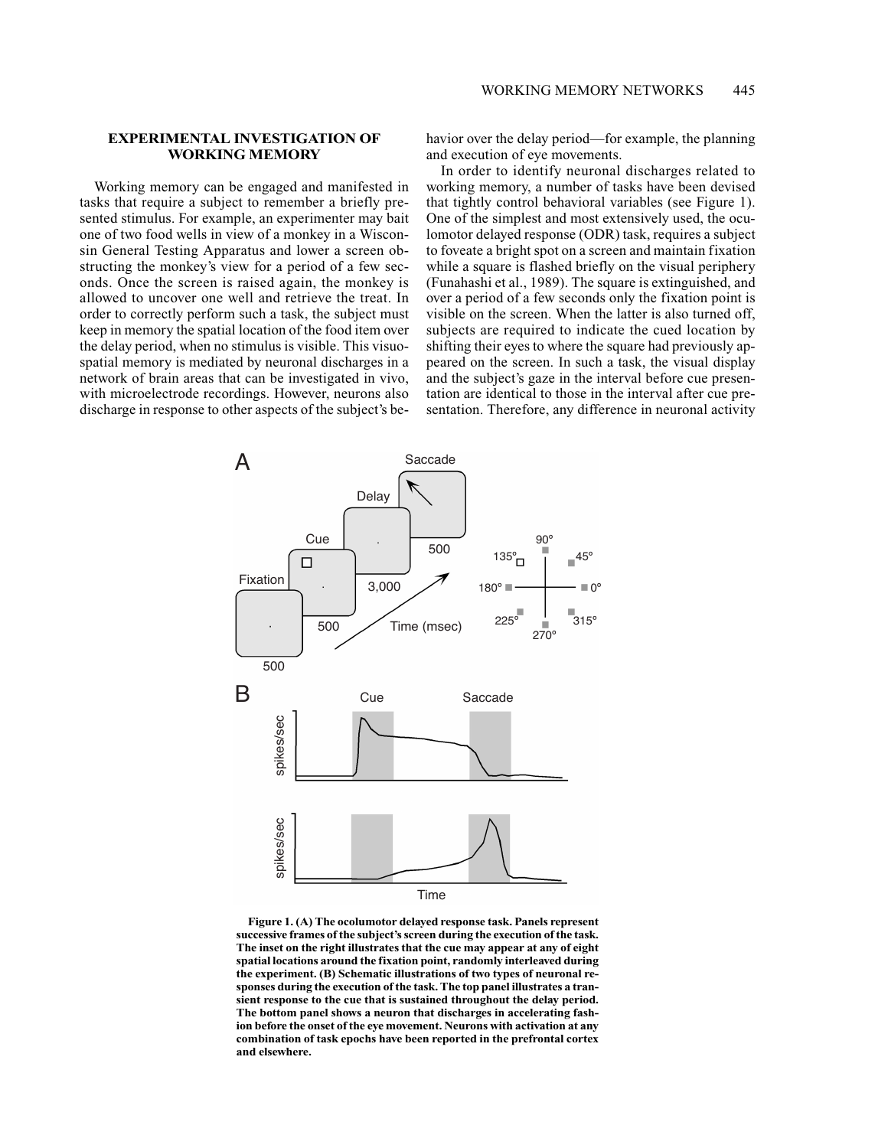## **EXPERIMENTAL INVESTIGATION OF WORKING MEMORY**

Working memory can be engaged and manifested in tasks that require a subject to remember a briefly presented stimulus. For example, an experimenter may bait one of two food wells in view of a monkey in a Wisconsin General Testing Apparatus and lower a screen obstructing the monkey's view for a period of a few seconds. Once the screen is raised again, the monkey is allowed to uncover one well and retrieve the treat. In order to correctly perform such a task, the subject must keep in memory the spatial location of the food item over the delay period, when no stimulus is visible. This visuospatial memory is mediated by neuronal discharges in a network of brain areas that can be investigated in vivo, with microelectrode recordings. However, neurons also discharge in response to other aspects of the subject's behavior over the delay period—for example, the planning and execution of eve movements.

In order to identify neuronal discharges related to working memory, a number of tasks have been devised that tightly control behavioral variables (see Figure 1). One of the simplest and most extensively used, the oculomotor delayed response (ODR) task, requires a subject to foveate a bright spot on a screen and maintain fixation while a square is flashed briefly on the visual periphery (Funahashi et al., 1989). The square is extinguished, and over a period of a few seconds only the fixation point is visible on the screen. When the latter is also turned off, subjects are required to indicate the cued location by shifting their eves to where the square had previously appeared on the screen. In such a task, the visual display and the subject's gaze in the interval before cue presentation are identical to those in the interval after cue presentation. Therefore, any difference in neuronal activity



Figure 1. (A) The ocolumotor delayed response task. Panels represent successive frames of the subject's screen during the execution of the task. The inset on the right illustrates that the cue may appear at any of eight spatial locations around the fixation point, randomly interleaved during the experiment. (B) Schematic illustrations of two types of neuronal responses during the execution of the task. The top panel illustrates a transient response to the cue that is sustained throughout the delay period. The bottom panel shows a neuron that discharges in accelerating fashion before the onset of the eye movement. Neurons with activation at any combination of task epochs have been reported in the prefrontal cortex and elsewhere.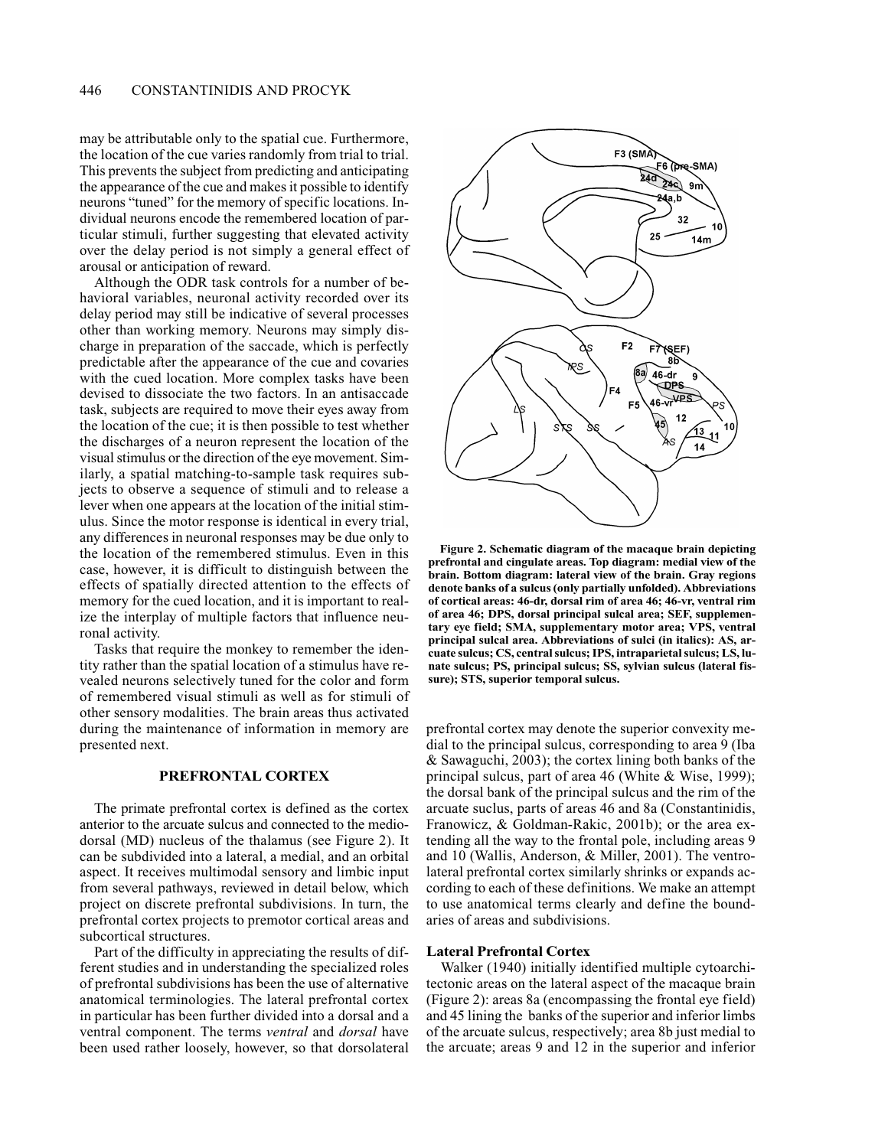may be attributable only to the spatial cue. Furthermore, the location of the cue varies randomly from trial to trial. This prevents the subject from predicting and anticipating the appearance of the cue and makes it possible to identify neurons "tuned" for the memory of specific locations. Individual neurons encode the remembered location of particular stimuli, further suggesting that elevated activity over the delay period is not simply a general effect of arousal or anticipation of reward.

Although the ODR task controls for a number of behavioral variables, neuronal activity recorded over its delay period may still be indicative of several processes other than working memory. Neurons may simply discharge in preparation of the saccade, which is perfectly predictable after the appearance of the cue and covaries with the cued location. More complex tasks have been devised to dissociate the two factors. In an antisaccade task, subjects are required to move their eyes away from the location of the cue; it is then possible to test whether the discharges of a neuron represent the location of the visual stimulus or the direction of the eye movement. Similarly, a spatial matching-to-sample task requires subjects to observe a sequence of stimuli and to release a lever when one appears at the location of the initial stimulus. Since the motor response is identical in every trial, any differences in neuronal responses may be due only to the location of the remembered stimulus. Even in this case, however, it is difficult to distinguish between the effects of spatially directed attention to the effects of memory for the cued location, and it is important to realize the interplay of multiple factors that influence neuronal activity.

Tasks that require the monkey to remember the identity rather than the spatial location of a stimulus have revealed neurons selectively tuned for the color and form of remembered visual stimuli as well as for stimuli of other sensory modalities. The brain areas thus activated during the maintenance of information in memory are presented next.

# PREFRONTAL CORTEX

The primate prefrontal cortex is defined as the cortex anterior to the arcuate sulcus and connected to the mediodorsal (MD) nucleus of the thalamus (see Figure 2). It can be subdivided into a lateral, a medial, and an orbital aspect. It receives multimodal sensory and limbic input from several pathways, reviewed in detail below, which project on discrete prefrontal subdivisions. In turn, the prefrontal cortex projects to premotor cortical areas and subcortical structures.

Part of the difficulty in appreciating the results of different studies and in understanding the specialized roles of prefrontal subdivisions has been the use of alternative anatomical terminologies. The lateral prefrontal cortex in particular has been further divided into a dorsal and a ventral component. The terms ventral and dorsal have been used rather loosely, however, so that dorsolateral



Figure 2. Schematic diagram of the macaque brain depicting prefrontal and cingulate areas. Top diagram: medial view of the brain. Bottom diagram: lateral view of the brain. Gray regions denote banks of a sulcus (only partially unfolded). Abbreviations of cortical areas: 46-dr, dorsal rim of area 46; 46-vr, ventral rim of area 46; DPS, dorsal principal sulcal area; SEF, supplementary eye field; SMA, supplementary motor area; VPS, ventral principal sulcal area. Abbreviations of sulci (in italics): AS, arcuate sulcus; CS, central sulcus; IPS, intraparietal sulcus; LS, lunate sulcus; PS, principal sulcus; SS, sylvian sulcus (lateral fissure); STS, superior temporal sulcus.

prefrontal cortex may denote the superior convexity medial to the principal sulcus, corresponding to area 9 (Iba & Sawaguchi, 2003); the cortex lining both banks of the principal sulcus, part of area 46 (White & Wise, 1999); the dorsal bank of the principal sulcus and the rim of the arcuate suclus, parts of areas 46 and 8a (Constantinidis, Franowicz, & Goldman-Rakic, 2001b); or the area extending all the way to the frontal pole, including areas 9 and 10 (Wallis, Anderson, & Miller, 2001). The ventrolateral prefrontal cortex similarly shrinks or expands according to each of these definitions. We make an attempt to use anatomical terms clearly and define the boundaries of areas and subdivisions.

#### **Lateral Prefrontal Cortex**

Walker (1940) initially identified multiple cytoarchitectonic areas on the lateral aspect of the macaque brain (Figure 2): areas 8a (encompassing the frontal eye field) and 45 lining the banks of the superior and inferior limbs of the arcuate sulcus, respectively; area 8b just medial to the arcuate; areas 9 and 12 in the superior and inferior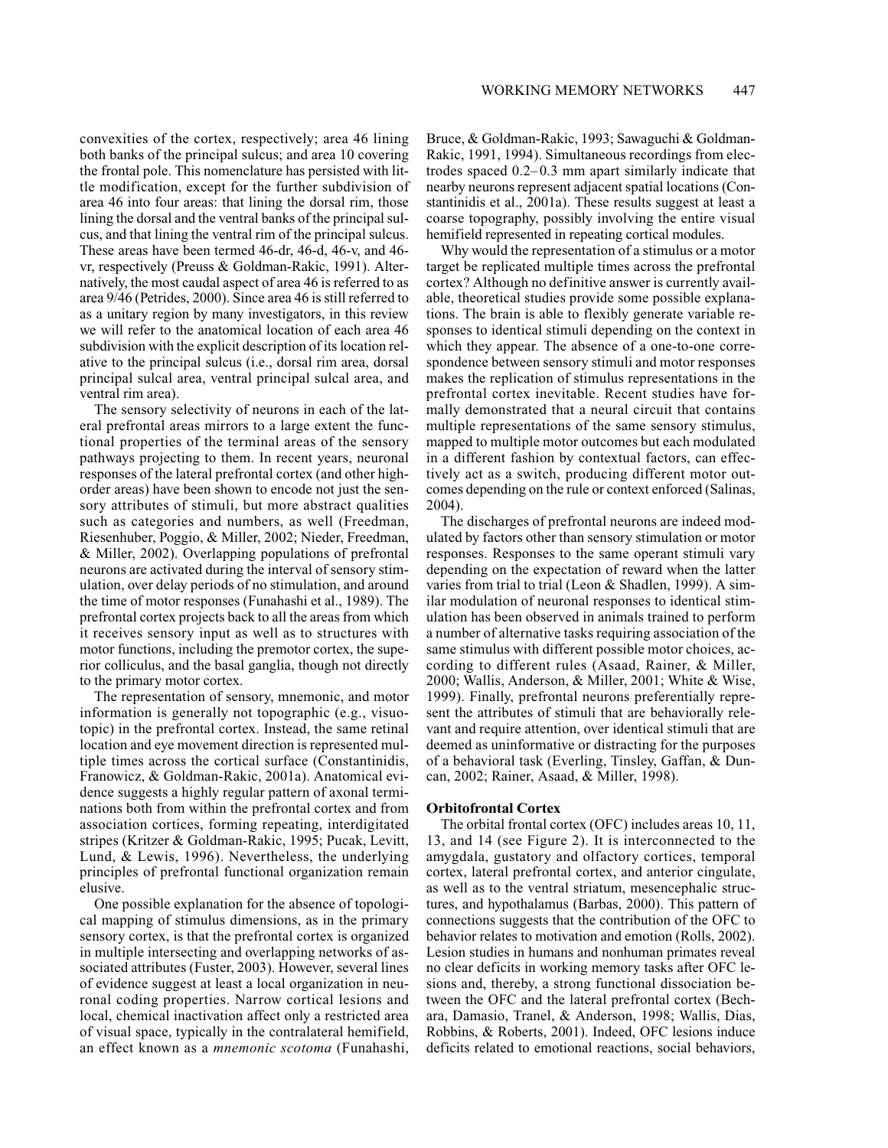convexities of the cortex, respectively; area 46 lining both banks of the principal sulcus; and area 10 covering the frontal pole. This nomenclature has persisted with little modification, except for the further subdivision of area 46 into four areas: that lining the dorsal rim, those lining the dorsal and the ventral banks of the principal sulcus, and that lining the ventral rim of the principal sulcus. These areas have been termed 46-dr. 46-d, 46-v, and 46vr, respectively (Preuss & Goldman-Rakic, 1991). Alternatively, the most caudal aspect of area 46 is referred to as area 9/46 (Petrides, 2000). Since area 46 is still referred to as a unitary region by many investigators, in this review we will refer to the anatomical location of each area 46 subdivision with the explicit description of its location relative to the principal sulcus (i.e., dorsal rim area, dorsal principal sulcal area, ventral principal sulcal area, and ventral rim area).

The sensory selectivity of neurons in each of the lateral prefrontal areas mirrors to a large extent the functional properties of the terminal areas of the sensory pathways projecting to them. In recent years, neuronal responses of the lateral prefrontal cortex (and other highorder areas) have been shown to encode not just the sensory attributes of stimuli, but more abstract qualities such as categories and numbers, as well (Freedman, Riesenhuber, Poggio, & Miller, 2002; Nieder, Freedman, & Miller, 2002). Overlapping populations of prefrontal neurons are activated during the interval of sensory stimulation, over delay periods of no stimulation, and around the time of motor responses (Funahashi et al., 1989). The prefrontal cortex projects back to all the areas from which it receives sensory input as well as to structures with motor functions, including the premotor cortex, the superior colliculus, and the basal ganglia, though not directly to the primary motor cortex.

The representation of sensory, mnemonic, and motor information is generally not topographic (e.g., visuotopic) in the prefrontal cortex. Instead, the same retinal location and eye movement direction is represented multiple times across the cortical surface (Constantinidis, Franowicz, & Goldman-Rakic, 2001a). Anatomical evidence suggests a highly regular pattern of axonal terminations both from within the prefrontal cortex and from association cortices, forming repeating, interdigitated stripes (Kritzer & Goldman-Rakic, 1995; Pucak, Levitt, Lund, & Lewis, 1996). Nevertheless, the underlying principles of prefrontal functional organization remain elusive.

One possible explanation for the absence of topological mapping of stimulus dimensions, as in the primary sensory cortex, is that the prefrontal cortex is organized in multiple intersecting and overlapping networks of associated attributes (Fuster, 2003). However, several lines of evidence suggest at least a local organization in neuronal coding properties. Narrow cortical lesions and local, chemical inactivation affect only a restricted area of visual space, typically in the contralateral hemifield, an effect known as a *mnemonic scotoma* (Funahashi,

Bruce, & Goldman-Rakic, 1993; Sawaguchi & Goldman-Rakic, 1991, 1994). Simultaneous recordings from electrodes spaced  $0.2-0.3$  mm apart similarly indicate that nearby neurons represent adjacent spatial locations (Constantinidis et al., 2001a). These results suggest at least a coarse topography, possibly involving the entire visual hemifield represented in repeating cortical modules.

Why would the representation of a stimulus or a motor target be replicated multiple times across the prefrontal cortex? Although no definitive answer is currently available, theoretical studies provide some possible explanations. The brain is able to flexibly generate variable responses to identical stimuli depending on the context in which they appear. The absence of a one-to-one correspondence between sensory stimuli and motor responses makes the replication of stimulus representations in the prefrontal cortex inevitable. Recent studies have formally demonstrated that a neural circuit that contains multiple representations of the same sensory stimulus, mapped to multiple motor outcomes but each modulated in a different fashion by contextual factors, can effectively act as a switch, producing different motor outcomes depending on the rule or context enforced (Salinas, 2004).

The discharges of prefrontal neurons are indeed modulated by factors other than sensory stimulation or motor responses. Responses to the same operant stimuli vary depending on the expectation of reward when the latter varies from trial to trial (Leon & Shadlen, 1999). A similar modulation of neuronal responses to identical stimulation has been observed in animals trained to perform a number of alternative tasks requiring association of the same stimulus with different possible motor choices, according to different rules (Asaad, Rainer, & Miller, 2000; Wallis, Anderson, & Miller, 2001; White & Wise, 1999). Finally, prefrontal neurons preferentially represent the attributes of stimuli that are behaviorally relevant and require attention, over identical stimuli that are deemed as uninformative or distracting for the purposes of a behavioral task (Everling, Tinsley, Gaffan, & Duncan, 2002; Rainer, Asaad, & Miller, 1998).

# **Orbitofrontal Cortex**

The orbital frontal cortex (OFC) includes areas 10, 11, 13, and 14 (see Figure 2). It is interconnected to the amygdala, gustatory and olfactory cortices, temporal cortex, lateral prefrontal cortex, and anterior cingulate, as well as to the ventral striatum, mesencephalic structures, and hypothalamus (Barbas, 2000). This pattern of connections suggests that the contribution of the OFC to behavior relates to motivation and emotion (Rolls, 2002). Lesion studies in humans and nonhuman primates reveal no clear deficits in working memory tasks after OFC lesions and, thereby, a strong functional dissociation between the OFC and the lateral prefrontal cortex (Bechara, Damasio, Tranel, & Anderson, 1998; Wallis, Dias, Robbins, & Roberts, 2001). Indeed, OFC lesions induce deficits related to emotional reactions, social behaviors,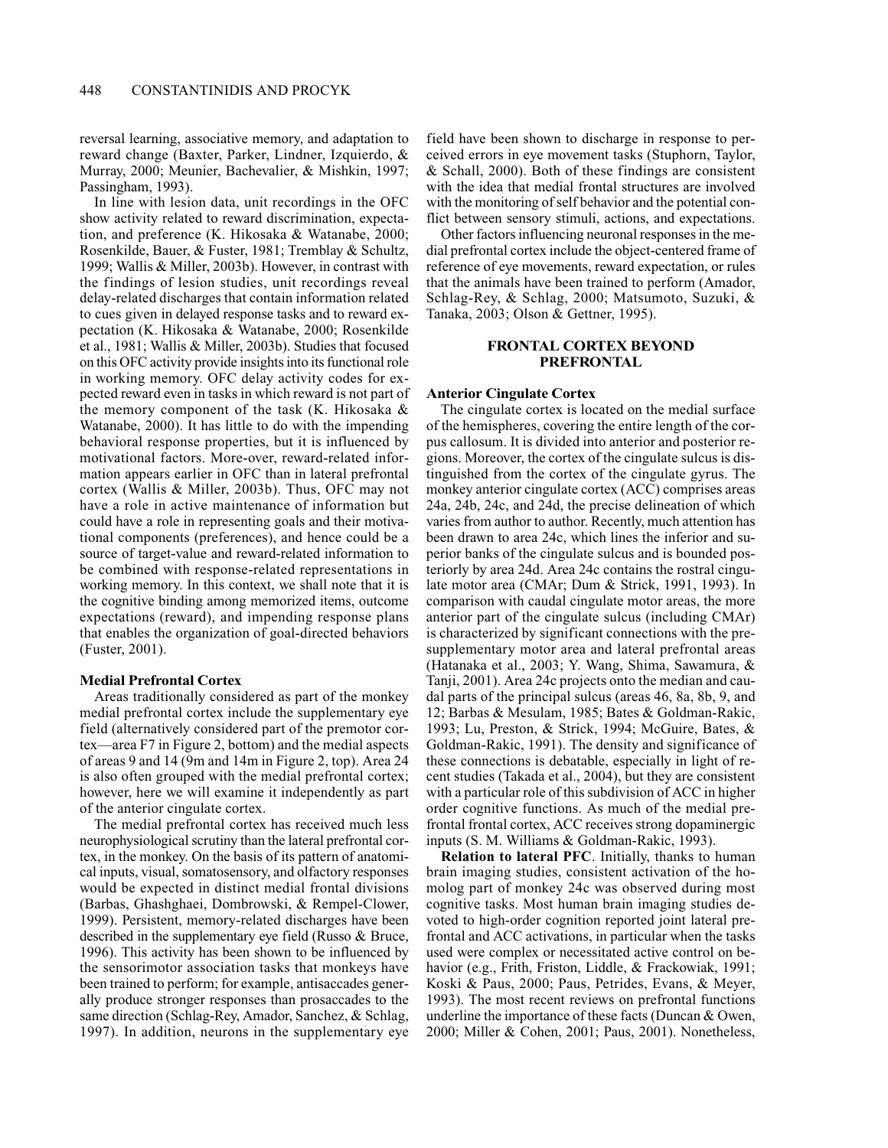reversal learning, associative memory, and adaptation to reward change (Baxter, Parker, Lindner, Izquierdo, & Murray, 2000; Meunier, Bachevalier, & Mishkin, 1997; Passingham, 1993).

In line with lesion data, unit recordings in the OFC show activity related to reward discrimination, expectation, and preference (K. Hikosaka & Watanabe, 2000; Rosenkilde, Bauer, & Fuster, 1981; Tremblay & Schultz, 1999; Wallis & Miller, 2003b). However, in contrast with the findings of lesion studies, unit recordings reveal delay-related discharges that contain information related to cues given in delayed response tasks and to reward expectation (K. Hikosaka & Watanabe, 2000; Rosenkilde et al., 1981; Wallis & Miller, 2003b). Studies that focused on this OFC activity provide insights into its functional role in working memory. OFC delay activity codes for expected reward even in tasks in which reward is not part of the memory component of the task  $(K. Hikosaka \&$ Watanabe, 2000). It has little to do with the impending behavioral response properties, but it is influenced by motivational factors. More-over, reward-related information appears earlier in OFC than in lateral prefrontal cortex (Wallis & Miller, 2003b). Thus, OFC may not have a role in active maintenance of information but could have a role in representing goals and their motivational components (preferences), and hence could be a source of target-value and reward-related information to be combined with response-related representations in working memory. In this context, we shall note that it is the cognitive binding among memorized items, outcome expectations (reward), and impending response plans that enables the organization of goal-directed behaviors (Fuster, 2001).

# **Medial Prefrontal Cortex**

Areas traditionally considered as part of the monkey medial prefrontal cortex include the supplementary eye field (alternatively considered part of the premotor cortex—area F7 in Figure 2, bottom) and the medial aspects of areas 9 and 14 (9m and 14m in Figure 2, top). Area 24 is also often grouped with the medial prefrontal cortex; however, here we will examine it independently as part of the anterior cingulate cortex.

The medial prefrontal cortex has received much less neurophysiological scrutiny than the lateral prefrontal cortex, in the monkey. On the basis of its pattern of anatomical inputs, visual, somatosensory, and olfactory responses would be expected in distinct medial frontal divisions (Barbas, Ghashghaei, Dombrowski, & Rempel-Clower, 1999). Persistent, memory-related discharges have been described in the supplementary eye field (Russo & Bruce, 1996). This activity has been shown to be influenced by the sensorimotor association tasks that monkeys have been trained to perform; for example, antisaccades generally produce stronger responses than prosaccades to the same direction (Schlag-Rey, Amador, Sanchez, & Schlag, 1997). In addition, neurons in the supplementary eye

field have been shown to discharge in response to perceived errors in eye movement tasks (Stuphorn, Taylor, & Schall, 2000). Both of these findings are consistent with the idea that medial frontal structures are involved with the monitoring of self behavior and the potential conflict between sensory stimuli, actions, and expectations.

Other factors influencing neuronal responses in the medial prefrontal cortex include the object-centered frame of reference of eye movements, reward expectation, or rules that the animals have been trained to perform (Amador, Schlag-Rey, & Schlag, 2000; Matsumoto, Suzuki, & Tanaka, 2003; Olson & Gettner, 1995).

## **FRONTAL CORTEX BEYOND PREFRONTAL**

#### **Anterior Cingulate Cortex**

The cingulate cortex is located on the medial surface of the hemispheres, covering the entire length of the corpus callosum. It is divided into anterior and posterior regions. Moreover, the cortex of the cingulate sulcus is distinguished from the cortex of the cingulate gyrus. The monkey anterior cingulate cortex (ACC) comprises areas 24a, 24b, 24c, and 24d, the precise delineation of which varies from author to author. Recently, much attention has been drawn to area 24c, which lines the inferior and superior banks of the cingulate sulcus and is bounded posteriorly by area 24d. Area 24c contains the rostral cingulate motor area (CMAr; Dum & Strick, 1991, 1993). In comparison with caudal cingulate motor areas, the more anterior part of the cingulate sulcus (including CMAr) is characterized by significant connections with the presupplementary motor area and lateral prefrontal areas (Hatanaka et al., 2003; Y. Wang, Shima, Sawamura, & Tanji, 2001). Area 24c projects onto the median and caudal parts of the principal sulcus (areas 46, 8a, 8b, 9, and 12; Barbas & Mesulam, 1985; Bates & Goldman-Rakic, 1993; Lu, Preston, & Strick, 1994; McGuire, Bates, & Goldman-Rakic, 1991). The density and significance of these connections is debatable, especially in light of recent studies (Takada et al., 2004), but they are consistent with a particular role of this subdivision of ACC in higher order cognitive functions. As much of the medial prefrontal frontal cortex, ACC receives strong dopaminergic inputs (S. M. Williams & Goldman-Rakic, 1993).

Relation to lateral PFC. Initially, thanks to human brain imaging studies, consistent activation of the homolog part of monkey 24c was observed during most cognitive tasks. Most human brain imaging studies devoted to high-order cognition reported joint lateral prefrontal and ACC activations, in particular when the tasks used were complex or necessitated active control on behavior (e.g., Frith, Friston, Liddle, & Frackowiak, 1991; Koski & Paus, 2000; Paus, Petrides, Evans, & Meyer, 1993). The most recent reviews on prefrontal functions underline the importance of these facts (Duncan & Owen, 2000; Miller & Cohen, 2001; Paus, 2001). Nonetheless,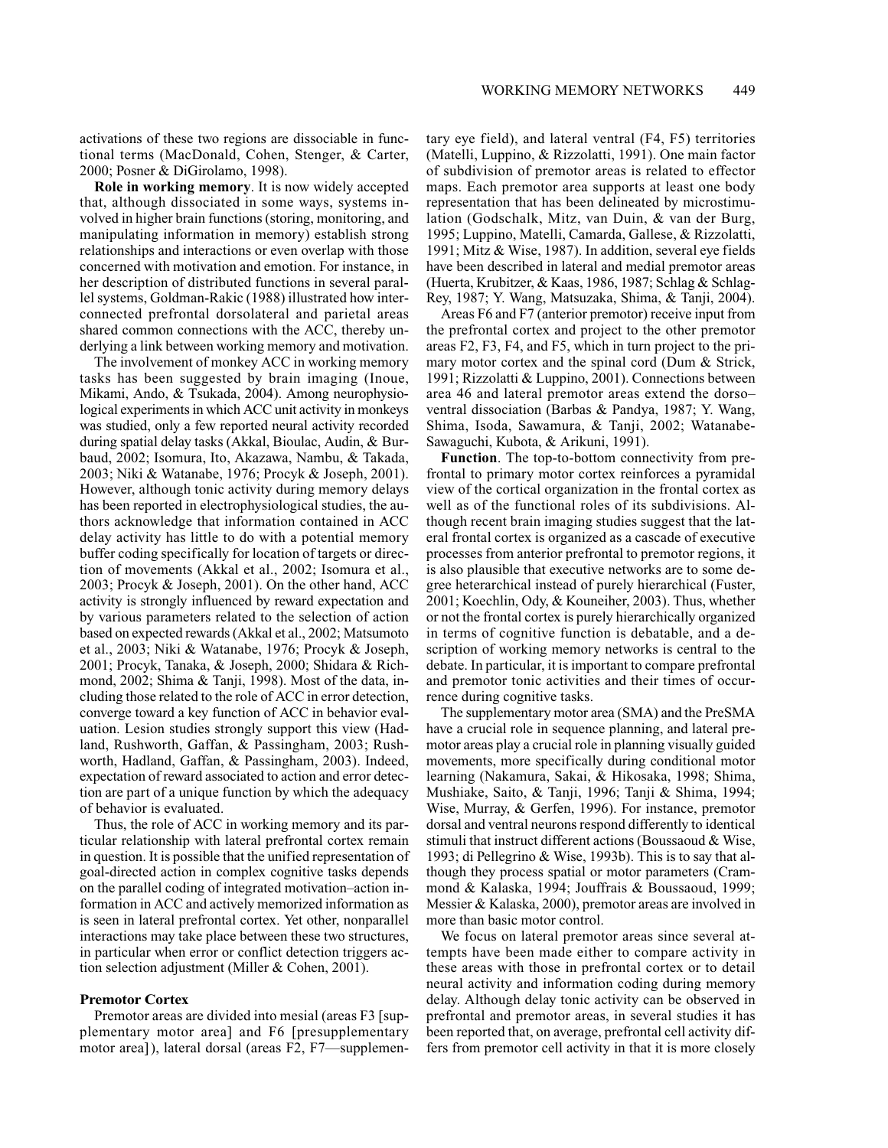activations of these two regions are dissociable in functional terms (MacDonald, Cohen, Stenger, & Carter, 2000; Posner & DiGirolamo, 1998).

Role in working memory. It is now widely accepted that, although dissociated in some ways, systems involved in higher brain functions (storing, monitoring, and manipulating information in memory) establish strong relationships and interactions or even overlap with those concerned with motivation and emotion. For instance, in her description of distributed functions in several parallel systems, Goldman-Rakic (1988) illustrated how interconnected prefrontal dorsolateral and parietal areas shared common connections with the ACC, thereby underlying a link between working memory and motivation.

The involvement of monkey ACC in working memory tasks has been suggested by brain imaging (Inoue, Mikami, Ando, & Tsukada, 2004). Among neurophysiological experiments in which ACC unit activity in monkeys was studied, only a few reported neural activity recorded during spatial delay tasks (Akkal, Bioulac, Audin, & Burbaud, 2002; Isomura, Ito, Akazawa, Nambu, & Takada, 2003; Niki & Watanabe, 1976; Procyk & Joseph, 2001). However, although tonic activity during memory delays has been reported in electrophysiological studies, the authors acknowledge that information contained in ACC delay activity has little to do with a potential memory buffer coding specifically for location of targets or direction of movements (Akkal et al., 2002; Isomura et al., 2003; Procyk & Joseph, 2001). On the other hand, ACC activity is strongly influenced by reward expectation and by various parameters related to the selection of action based on expected rewards (Akkal et al., 2002; Matsumoto et al., 2003; Niki & Watanabe, 1976; Procyk & Joseph, 2001; Procyk, Tanaka, & Joseph, 2000; Shidara & Richmond, 2002; Shima & Tanji, 1998). Most of the data, including those related to the role of ACC in error detection, converge toward a key function of ACC in behavior evaluation. Lesion studies strongly support this view (Hadland, Rushworth, Gaffan, & Passingham, 2003; Rushworth, Hadland, Gaffan, & Passingham, 2003). Indeed, expectation of reward associated to action and error detection are part of a unique function by which the adequacy of behavior is evaluated.

Thus, the role of ACC in working memory and its particular relationship with lateral prefrontal cortex remain in question. It is possible that the unified representation of goal-directed action in complex cognitive tasks depends on the parallel coding of integrated motivation-action information in ACC and actively memorized information as is seen in lateral prefrontal cortex. Yet other, nonparallel interactions may take place between these two structures, in particular when error or conflict detection triggers action selection adjustment (Miller & Cohen, 2001).

## **Premotor Cortex**

Premotor areas are divided into mesial (areas F3 [supplementary motor area] and F6 [presupplementary motor area]), lateral dorsal (areas F2, F7—supplementary eye field), and lateral ventral (F4, F5) territories (Matelli, Luppino, & Rizzolatti, 1991). One main factor of subdivision of premotor areas is related to effector maps. Each premotor area supports at least one body representation that has been delineated by microstimulation (Godschalk, Mitz, van Duin, & van der Burg, 1995; Luppino, Matelli, Camarda, Gallese, & Rizzolatti, 1991; Mitz & Wise, 1987). In addition, several eye fields have been described in lateral and medial premotor areas (Huerta, Krubitzer, & Kaas, 1986, 1987; Schlag & Schlag-Rey, 1987; Y. Wang, Matsuzaka, Shima, & Tanji, 2004).

Areas F6 and F7 (anterior premotor) receive input from the prefrontal cortex and project to the other premotor areas F2, F3, F4, and F5, which in turn project to the primary motor cortex and the spinal cord (Dum & Strick, 1991; Rizzolatti & Luppino, 2001). Connections between area 46 and lateral premotor areas extend the dorsoventral dissociation (Barbas & Pandya, 1987; Y. Wang, Shima, Isoda, Sawamura, & Tanji, 2002; Watanabe-Sawaguchi, Kubota, & Arikuni, 1991).

Function. The top-to-bottom connectivity from prefrontal to primary motor cortex reinforces a pyramidal view of the cortical organization in the frontal cortex as well as of the functional roles of its subdivisions. Although recent brain imaging studies suggest that the lateral frontal cortex is organized as a cascade of executive processes from anterior prefrontal to premotor regions, it is also plausible that executive networks are to some degree heterarchical instead of purely hierarchical (Fuster, 2001; Koechlin, Ody, & Kouneiher, 2003). Thus, whether or not the frontal cortex is purely hierarchically organized in terms of cognitive function is debatable, and a description of working memory networks is central to the debate. In particular, it is important to compare prefrontal and premotor tonic activities and their times of occurrence during cognitive tasks.

The supplementary motor area (SMA) and the PreSMA have a crucial role in sequence planning, and lateral premotor areas play a crucial role in planning visually guided movements, more specifically during conditional motor learning (Nakamura, Sakai, & Hikosaka, 1998; Shima, Mushiake, Saito, & Tanji, 1996; Tanji & Shima, 1994; Wise, Murray, & Gerfen, 1996). For instance, premotor dorsal and ventral neurons respond differently to identical stimuli that instruct different actions (Boussaoud & Wise, 1993; di Pellegrino & Wise, 1993b). This is to say that although they process spatial or motor parameters (Crammond & Kalaska, 1994; Jouffrais & Boussaoud, 1999; Messier & Kalaska, 2000), premotor areas are involved in more than basic motor control.

We focus on lateral premotor areas since several attempts have been made either to compare activity in these areas with those in prefrontal cortex or to detail neural activity and information coding during memory delay. Although delay tonic activity can be observed in prefrontal and premotor areas, in several studies it has been reported that, on average, prefrontal cell activity differs from premotor cell activity in that it is more closely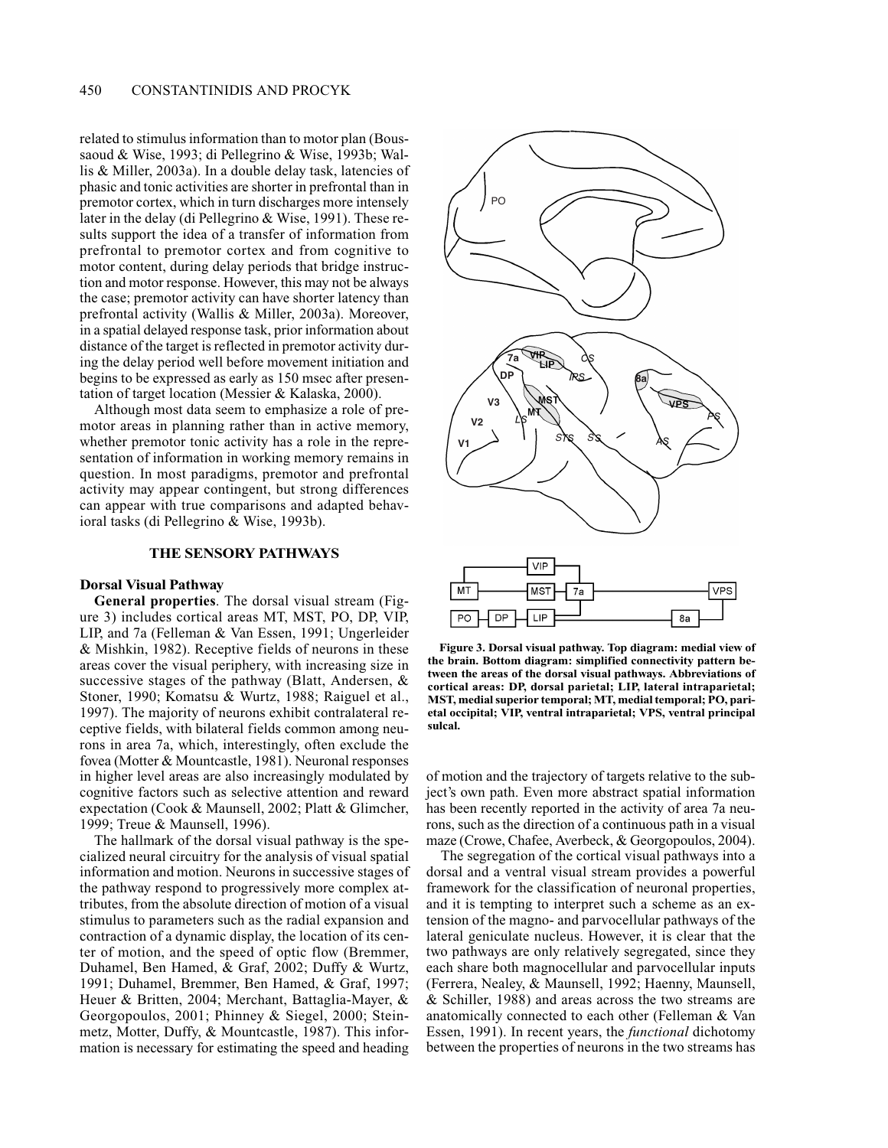related to stimulus information than to motor plan (Boussaoud & Wise, 1993; di Pellegrino & Wise, 1993b; Wallis & Miller, 2003a). In a double delay task, latencies of phasic and tonic activities are shorter in prefrontal than in premotor cortex, which in turn discharges more intensely later in the delay (di Pellegrino & Wise, 1991). These results support the idea of a transfer of information from prefrontal to premotor cortex and from cognitive to motor content, during delay periods that bridge instruction and motor response. However, this may not be always the case; premotor activity can have shorter latency than prefrontal activity (Wallis & Miller, 2003a). Moreover, in a spatial delayed response task, prior information about distance of the target is reflected in premotor activity during the delay period well before movement initiation and begins to be expressed as early as 150 msec after presentation of target location (Messier & Kalaska, 2000).

Although most data seem to emphasize a role of premotor areas in planning rather than in active memory, whether premotor tonic activity has a role in the representation of information in working memory remains in question. In most paradigms, premotor and prefrontal activity may appear contingent, but strong differences can appear with true comparisons and adapted behavioral tasks (di Pellegrino & Wise, 1993b).

# THE SENSORY PATHWAYS

#### **Dorsal Visual Pathway**

General properties. The dorsal visual stream (Figure 3) includes cortical areas MT, MST, PO, DP, VIP, LIP, and 7a (Felleman & Van Essen, 1991; Ungerleider & Mishkin, 1982). Receptive fields of neurons in these areas cover the visual periphery, with increasing size in successive stages of the pathway (Blatt, Andersen, & Stoner, 1990; Komatsu & Wurtz, 1988; Raiguel et al., 1997). The majority of neurons exhibit contralateral receptive fields, with bilateral fields common among neurons in area 7a, which, interestingly, often exclude the fovea (Motter & Mountcastle, 1981). Neuronal responses in higher level areas are also increasingly modulated by cognitive factors such as selective attention and reward expectation (Cook & Maunsell, 2002; Platt & Glimcher, 1999; Treue & Maunsell, 1996).

The hallmark of the dorsal visual pathway is the specialized neural circuitry for the analysis of visual spatial information and motion. Neurons in successive stages of the pathway respond to progressively more complex attributes, from the absolute direction of motion of a visual stimulus to parameters such as the radial expansion and contraction of a dynamic display, the location of its center of motion, and the speed of optic flow (Bremmer, Duhamel, Ben Hamed, & Graf, 2002; Duffy & Wurtz, 1991; Duhamel, Bremmer, Ben Hamed, & Graf, 1997; Heuer & Britten, 2004; Merchant, Battaglia-Mayer, & Georgopoulos, 2001; Phinney & Siegel, 2000; Steinmetz, Motter, Duffy, & Mountcastle, 1987). This information is necessary for estimating the speed and heading



Figure 3. Dorsal visual pathway. Top diagram: medial view of the brain. Bottom diagram: simplified connectivity pattern between the areas of the dorsal visual pathways. Abbreviations of cortical areas: DP, dorsal parietal; LIP, lateral intraparietal; MST, medial superior temporal; MT, medial temporal; PO, parietal occipital; VIP, ventral intraparietal; VPS, ventral principal sulcal.

of motion and the trajectory of targets relative to the subject's own path. Even more abstract spatial information has been recently reported in the activity of area 7a neurons, such as the direction of a continuous path in a visual maze (Crowe, Chafee, Averbeck, & Georgopoulos, 2004).

The segregation of the cortical visual pathways into a dorsal and a ventral visual stream provides a powerful framework for the classification of neuronal properties, and it is tempting to interpret such a scheme as an extension of the magno- and parvocellular pathways of the lateral geniculate nucleus. However, it is clear that the two pathways are only relatively segregated, since they each share both magnocellular and parvocellular inputs (Ferrera, Nealey, & Maunsell, 1992; Haenny, Maunsell, & Schiller, 1988) and areas across the two streams are anatomically connected to each other (Felleman & Van Essen, 1991). In recent years, the *functional* dichotomy between the properties of neurons in the two streams has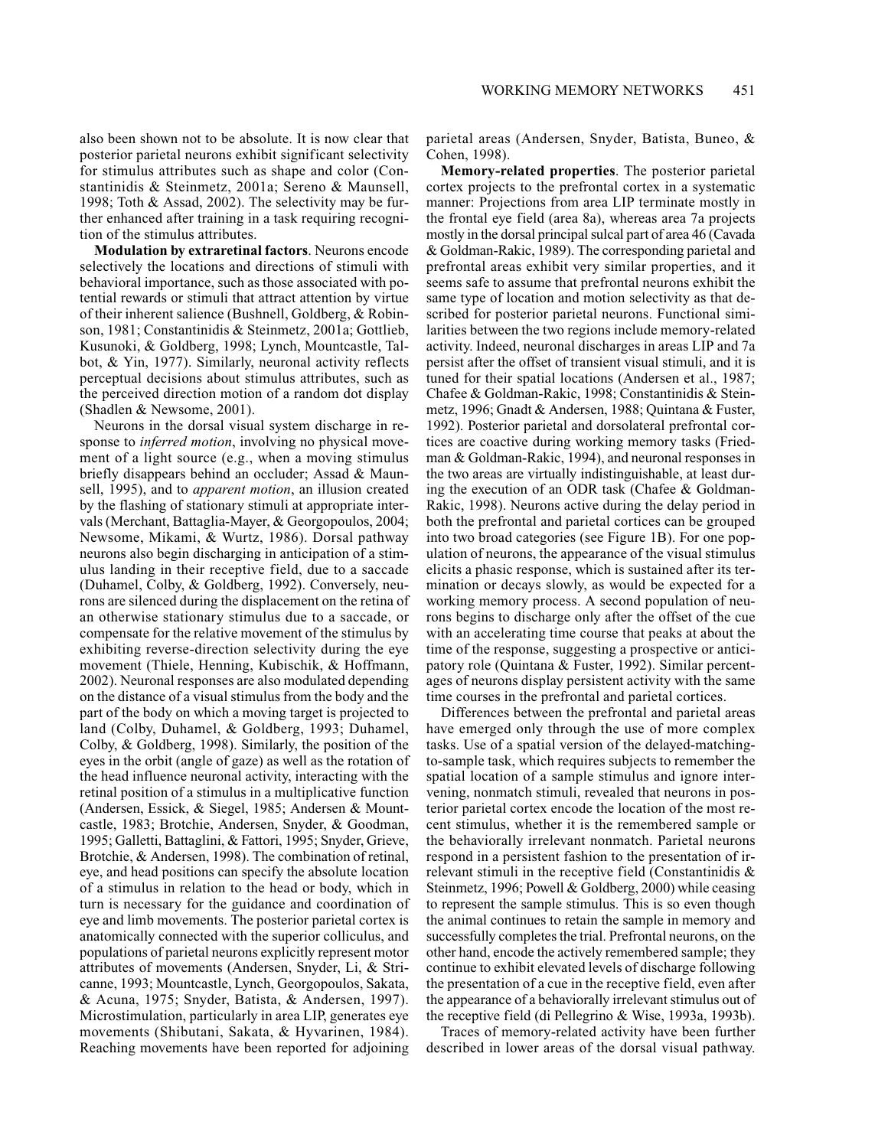also been shown not to be absolute. It is now clear that posterior parietal neurons exhibit significant selectivity for stimulus attributes such as shape and color (Constantinidis & Steinmetz, 2001a; Sereno & Maunsell, 1998: Toth & Assad, 2002). The selectivity may be further enhanced after training in a task requiring recognition of the stimulus attributes.

**Modulation by extraretinal factors.** Neurons encode selectively the locations and directions of stimuli with behavioral importance, such as those associated with potential rewards or stimuli that attract attention by virtue of their inherent salience (Bushnell, Goldberg, & Robinson, 1981; Constantinidis & Steinmetz, 2001a; Gottlieb, Kusunoki, & Goldberg, 1998; Lynch, Mountcastle, Talbot, & Yin, 1977). Similarly, neuronal activity reflects perceptual decisions about stimulus attributes, such as the perceived direction motion of a random dot display (Shadlen & Newsome, 2001).

Neurons in the dorsal visual system discharge in response to *inferred motion*, involving no physical movement of a light source (e.g., when a moving stimulus briefly disappears behind an occluder; Assad & Maunsell, 1995), and to *apparent motion*, an illusion created by the flashing of stationary stimuli at appropriate intervals (Merchant, Battaglia-Mayer, & Georgopoulos, 2004; Newsome, Mikami, & Wurtz, 1986). Dorsal pathway neurons also begin discharging in anticipation of a stimulus landing in their receptive field, due to a saccade (Duhamel, Colby, & Goldberg, 1992). Conversely, neurons are silenced during the displacement on the retina of an otherwise stationary stimulus due to a saccade, or compensate for the relative movement of the stimulus by exhibiting reverse-direction selectivity during the eye movement (Thiele, Henning, Kubischik, & Hoffmann, 2002). Neuronal responses are also modulated depending on the distance of a visual stimulus from the body and the part of the body on which a moving target is projected to land (Colby, Duhamel, & Goldberg, 1993; Duhamel, Colby, & Goldberg, 1998). Similarly, the position of the eyes in the orbit (angle of gaze) as well as the rotation of the head influence neuronal activity, interacting with the retinal position of a stimulus in a multiplicative function (Andersen, Essick, & Siegel, 1985; Andersen & Mountcastle, 1983; Brotchie, Andersen, Snyder, & Goodman, 1995; Galletti, Battaglini, & Fattori, 1995; Snyder, Grieve, Brotchie, & Andersen, 1998). The combination of retinal, eye, and head positions can specify the absolute location of a stimulus in relation to the head or body, which in turn is necessary for the guidance and coordination of eye and limb movements. The posterior parietal cortex is anatomically connected with the superior colliculus, and populations of parietal neurons explicitly represent motor attributes of movements (Andersen, Snyder, Li, & Stricanne, 1993; Mountcastle, Lynch, Georgopoulos, Sakata, & Acuna, 1975; Snyder, Batista, & Andersen, 1997). Microstimulation, particularly in area LIP, generates eye movements (Shibutani, Sakata, & Hyvarinen, 1984). Reaching movements have been reported for adjoining

parietal areas (Andersen, Snyder, Batista, Buneo, & Cohen, 1998).

Memory-related properties. The posterior parietal cortex projects to the prefrontal cortex in a systematic manner: Projections from area LIP terminate mostly in the frontal eye field (area 8a), whereas area 7a projects mostly in the dorsal principal sulcal part of area 46 (Cavada & Goldman-Rakic, 1989). The corresponding parietal and prefrontal areas exhibit very similar properties, and it seems safe to assume that prefrontal neurons exhibit the same type of location and motion selectivity as that described for posterior parietal neurons. Functional similarities between the two regions include memory-related activity. Indeed, neuronal discharges in areas LIP and 7a persist after the offset of transient visual stimuli, and it is tuned for their spatial locations (Andersen et al., 1987; Chafee & Goldman-Rakic, 1998; Constantinidis & Steinmetz, 1996; Gnadt & Andersen, 1988; Quintana & Fuster, 1992). Posterior parietal and dorsolateral prefrontal cortices are coactive during working memory tasks (Friedman & Goldman-Rakic, 1994), and neuronal responses in the two areas are virtually indistinguishable, at least during the execution of an ODR task (Chafee & Goldman-Rakic, 1998). Neurons active during the delay period in both the prefrontal and parietal cortices can be grouped into two broad categories (see Figure 1B). For one population of neurons, the appearance of the visual stimulus elicits a phasic response, which is sustained after its termination or decays slowly, as would be expected for a working memory process. A second population of neurons begins to discharge only after the offset of the cue with an accelerating time course that peaks at about the time of the response, suggesting a prospective or anticipatory role (Quintana & Fuster, 1992). Similar percentages of neurons display persistent activity with the same time courses in the prefrontal and parietal cortices.

Differences between the prefrontal and parietal areas have emerged only through the use of more complex tasks. Use of a spatial version of the delayed-matchingto-sample task, which requires subjects to remember the spatial location of a sample stimulus and ignore intervening, nonmatch stimuli, revealed that neurons in posterior parietal cortex encode the location of the most recent stimulus, whether it is the remembered sample or the behaviorally irrelevant nonmatch. Parietal neurons respond in a persistent fashion to the presentation of irrelevant stimuli in the receptive field (Constantinidis & Steinmetz, 1996; Powell & Goldberg, 2000) while ceasing to represent the sample stimulus. This is so even though the animal continues to retain the sample in memory and successfully completes the trial. Prefrontal neurons, on the other hand, encode the actively remembered sample; they continue to exhibit elevated levels of discharge following the presentation of a cue in the receptive field, even after the appearance of a behaviorally irrelevant stimulus out of the receptive field (di Pellegrino & Wise, 1993a, 1993b).

Traces of memory-related activity have been further described in lower areas of the dorsal visual pathway.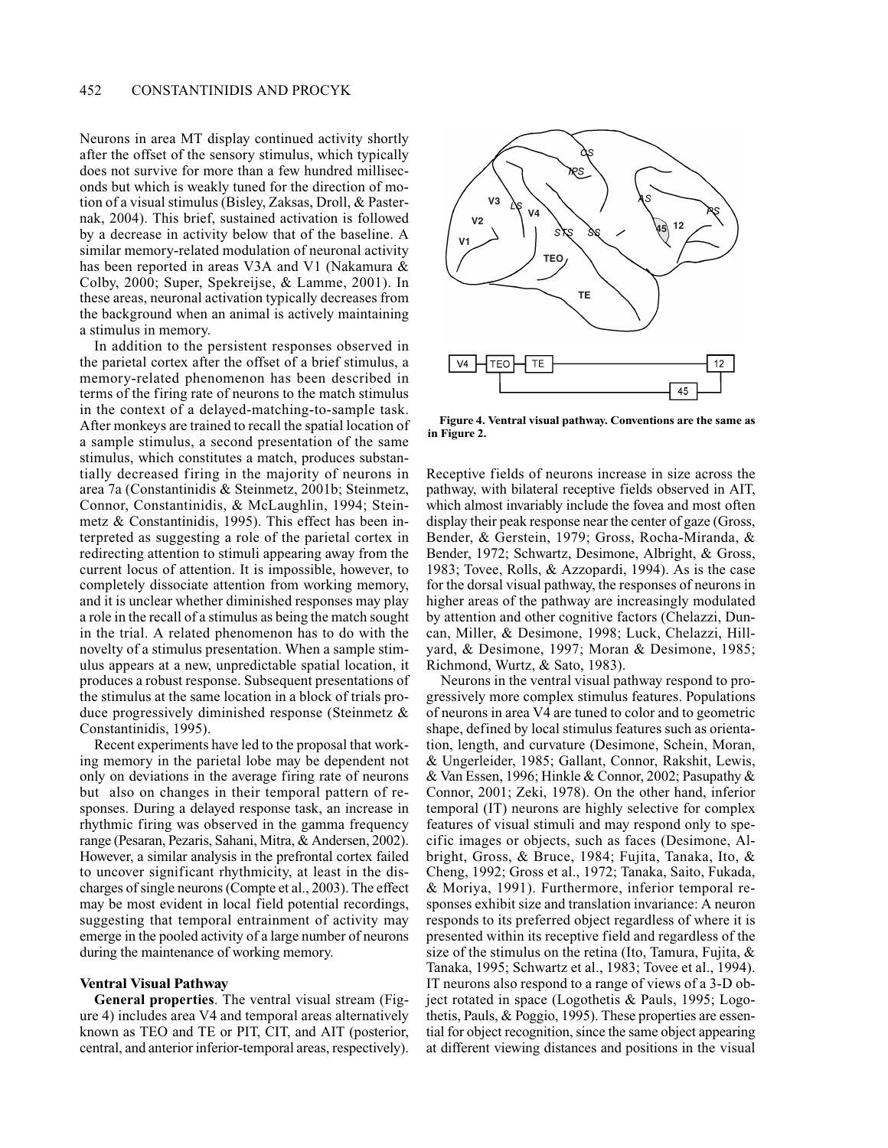Neurons in area MT display continued activity shortly after the offset of the sensory stimulus, which typically does not survive for more than a few hundred milliseconds but which is weakly tuned for the direction of motion of a visual stimulus (Bisley, Zaksas, Droll, & Pasternak, 2004). This brief, sustained activation is followed by a decrease in activity below that of the baseline. A similar memory-related modulation of neuronal activity has been reported in areas V3A and V1 (Nakamura & Colby, 2000; Super, Spekreijse, & Lamme, 2001). In these areas, neuronal activation typically decreases from the background when an animal is actively maintaining a stimulus in memory.

In addition to the persistent responses observed in the parietal cortex after the offset of a brief stimulus, a memory-related phenomenon has been described in terms of the firing rate of neurons to the match stimulus in the context of a delayed-matching-to-sample task. After monkeys are trained to recall the spatial location of a sample stimulus, a second presentation of the same stimulus, which constitutes a match, produces substantially decreased firing in the majority of neurons in area 7a (Constantinidis & Steinmetz, 2001b; Steinmetz, Connor, Constantinidis, & McLaughlin, 1994; Steinmetz & Constantinidis, 1995). This effect has been interpreted as suggesting a role of the parietal cortex in redirecting attention to stimuli appearing away from the current locus of attention. It is impossible, however, to completely dissociate attention from working memory, and it is unclear whether diminished responses may play a role in the recall of a stimulus as being the match sought in the trial. A related phenomenon has to do with the novelty of a stimulus presentation. When a sample stimulus appears at a new, unpredictable spatial location, it produces a robust response. Subsequent presentations of the stimulus at the same location in a block of trials produce progressively diminished response (Steinmetz & Constantinidis, 1995).

Recent experiments have led to the proposal that working memory in the parietal lobe may be dependent not only on deviations in the average firing rate of neurons but also on changes in their temporal pattern of responses. During a delayed response task, an increase in rhythmic firing was observed in the gamma frequency range (Pesaran, Pezaris, Sahani, Mitra, & Andersen, 2002). However, a similar analysis in the prefrontal cortex failed to uncover significant rhythmicity, at least in the discharges of single neurons (Compte et al., 2003). The effect may be most evident in local field potential recordings, suggesting that temporal entrainment of activity may emerge in the pooled activity of a large number of neurons during the maintenance of working memory.

# **Ventral Visual Pathway**

General properties. The ventral visual stream (Figure 4) includes area V4 and temporal areas alternatively known as TEO and TE or PIT, CIT, and AIT (posterior, central, and anterior inferior-temporal areas, respectively).



Figure 4. Ventral visual pathway. Conventions are the same as in Figure 2.

Receptive fields of neurons increase in size across the pathway, with bilateral receptive fields observed in AIT, which almost invariably include the fovea and most often display their peak response near the center of gaze (Gross, Bender, & Gerstein, 1979; Gross, Rocha-Miranda, & Bender, 1972; Schwartz, Desimone, Albright, & Gross, 1983; Tovee, Rolls, & Azzopardi, 1994). As is the case for the dorsal visual pathway, the responses of neurons in higher areas of the pathway are increasingly modulated by attention and other cognitive factors (Chelazzi, Duncan, Miller, & Desimone, 1998; Luck, Chelazzi, Hillvard, & Desimone, 1997; Moran & Desimone, 1985; Richmond, Wurtz, & Sato, 1983).

Neurons in the ventral visual pathway respond to progressively more complex stimulus features. Populations of neurons in area V4 are tuned to color and to geometric shape, defined by local stimulus features such as orientation, length, and curvature (Desimone, Schein, Moran, & Ungerleider, 1985; Gallant, Connor, Rakshit, Lewis, & Van Essen, 1996; Hinkle & Connor, 2002; Pasupathy & Connor, 2001; Zeki, 1978). On the other hand, inferior temporal (IT) neurons are highly selective for complex features of visual stimuli and may respond only to specific images or objects, such as faces (Desimone, Albright, Gross, & Bruce, 1984; Fujita, Tanaka, Ito, & Cheng, 1992; Gross et al., 1972; Tanaka, Saito, Fukada, & Moriya, 1991). Furthermore, inferior temporal responses exhibit size and translation invariance: A neuron responds to its preferred object regardless of where it is presented within its receptive field and regardless of the size of the stimulus on the retina (Ito, Tamura, Fujita,  $\&$ Tanaka, 1995; Schwartz et al., 1983; Tovee et al., 1994). IT neurons also respond to a range of views of a 3-D object rotated in space (Logothetis & Pauls, 1995; Logothetis, Pauls, & Poggio, 1995). These properties are essential for object recognition, since the same object appearing at different viewing distances and positions in the visual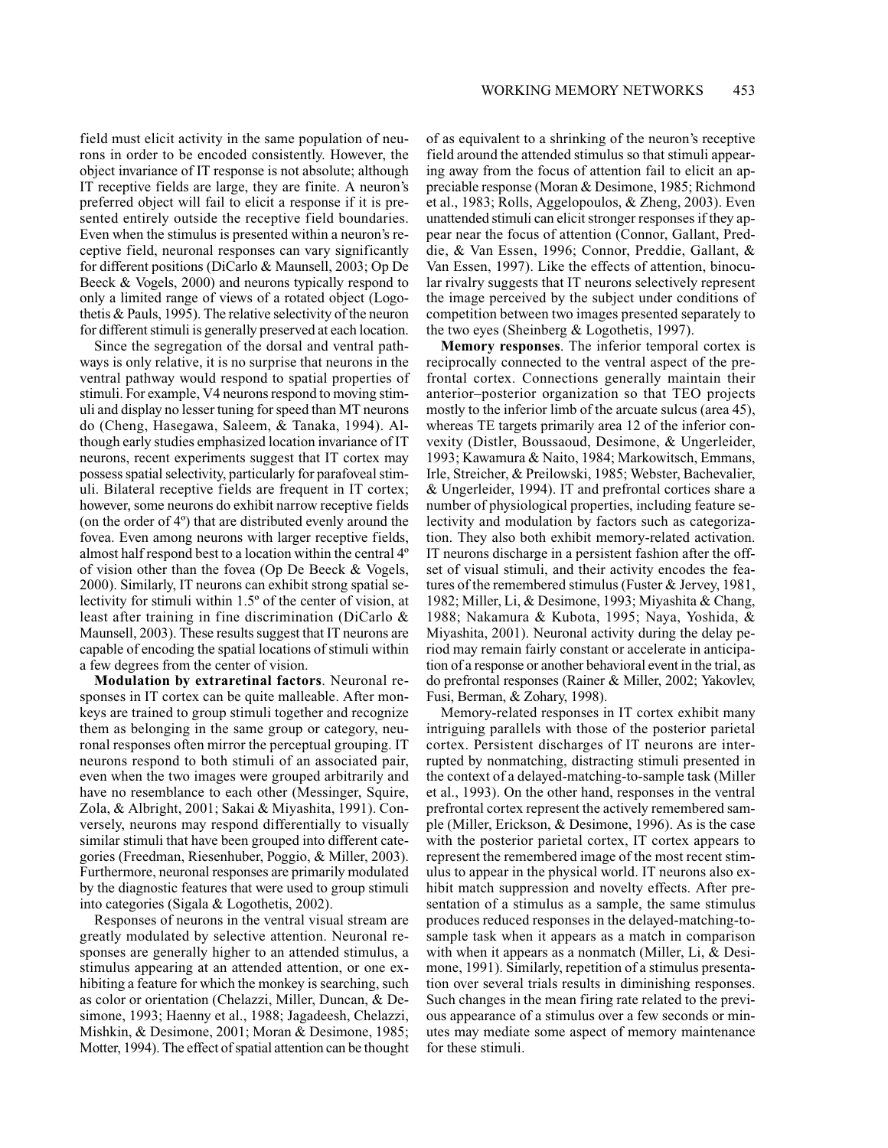field must elicit activity in the same population of neurons in order to be encoded consistently. However, the object invariance of IT response is not absolute; although IT receptive fields are large, they are finite. A neuron's preferred object will fail to elicit a response if it is presented entirely outside the receptive field boundaries. Even when the stimulus is presented within a neuron's receptive field, neuronal responses can vary significantly for different positions (DiCarlo & Maunsell, 2003; Op De Beeck & Vogels, 2000) and neurons typically respond to only a limited range of views of a rotated object (Logothetis & Pauls, 1995). The relative selectivity of the neuron for different stimuli is generally preserved at each location.

Since the segregation of the dorsal and ventral pathways is only relative, it is no surprise that neurons in the ventral pathway would respond to spatial properties of stimuli. For example, V4 neurons respond to moving stimuli and display no lesser tuning for speed than MT neurons do (Cheng, Hasegawa, Saleem, & Tanaka, 1994). Although early studies emphasized location invariance of IT neurons, recent experiments suggest that IT cortex may possess spatial selectivity, particularly for parafoveal stimuli. Bilateral receptive fields are frequent in IT cortex; however, some neurons do exhibit narrow receptive fields (on the order of 4<sup>o</sup>) that are distributed evenly around the fovea. Even among neurons with larger receptive fields, almost half respond best to a location within the central 4<sup>°</sup> of vision other than the fovea (Op De Beeck & Vogels, 2000). Similarly, IT neurons can exhibit strong spatial selectivity for stimuli within 1.5° of the center of vision, at least after training in fine discrimination (DiCarlo & Maunsell, 2003). These results suggest that IT neurons are capable of encoding the spatial locations of stimuli within a few degrees from the center of vision.

**Modulation by extraretinal factors.** Neuronal responses in IT cortex can be quite malleable. After monkeys are trained to group stimuli together and recognize them as belonging in the same group or category, neuronal responses often mirror the perceptual grouping. IT neurons respond to both stimuli of an associated pair, even when the two images were grouped arbitrarily and have no resemblance to each other (Messinger, Squire, Zola, & Albright, 2001; Sakai & Miyashita, 1991). Conversely, neurons may respond differentially to visually similar stimuli that have been grouped into different categories (Freedman, Riesenhuber, Poggio, & Miller, 2003). Furthermore, neuronal responses are primarily modulated by the diagnostic features that were used to group stimuli into categories (Sigala & Logothetis, 2002).

Responses of neurons in the ventral visual stream are. greatly modulated by selective attention. Neuronal responses are generally higher to an attended stimulus, a stimulus appearing at an attended attention, or one exhibiting a feature for which the monkey is searching, such as color or orientation (Chelazzi, Miller, Duncan, & Desimone, 1993; Haenny et al., 1988; Jagadeesh, Chelazzi, Mishkin, & Desimone, 2001; Moran & Desimone, 1985; Motter, 1994). The effect of spatial attention can be thought

of as equivalent to a shrinking of the neuron's receptive field around the attended stimulus so that stimuli appearing away from the focus of attention fail to elicit an appreciable response (Moran & Desimone, 1985; Richmond et al., 1983; Rolls, Aggelopoulos, & Zheng, 2003). Even unattended stimuli can elicit stronger responses if they appear near the focus of attention (Connor, Gallant, Preddie, & Van Essen, 1996; Connor, Preddie, Gallant, & Van Essen, 1997). Like the effects of attention, binocular rivalry suggests that IT neurons selectively represent the image perceived by the subject under conditions of competition between two images presented separately to the two eyes (Sheinberg  $&$  Logothetis, 1997).

**Memory responses.** The inferior temporal cortex is reciprocally connected to the ventral aspect of the prefrontal cortex. Connections generally maintain their anterior-posterior organization so that TEO projects mostly to the inferior limb of the arcuate sulcus (area 45), whereas TE targets primarily area 12 of the inferior convexity (Distler, Boussaoud, Desimone, & Ungerleider, 1993; Kawamura & Naito, 1984; Markowitsch, Emmans, Irle, Streicher, & Preilowski, 1985; Webster, Bachevalier, & Ungerleider, 1994). IT and prefrontal cortices share a number of physiological properties, including feature selectivity and modulation by factors such as categorization. They also both exhibit memory-related activation. IT neurons discharge in a persistent fashion after the offset of visual stimuli, and their activity encodes the features of the remembered stimulus (Fuster & Jervey, 1981, 1982; Miller, Li, & Desimone, 1993; Miyashita & Chang, 1988; Nakamura & Kubota, 1995; Naya, Yoshida, & Miyashita, 2001). Neuronal activity during the delay period may remain fairly constant or accelerate in anticipation of a response or another behavioral event in the trial, as do prefrontal responses (Rainer & Miller, 2002; Yakovlev, Fusi, Berman, & Zohary, 1998).

Memory-related responses in IT cortex exhibit many intriguing parallels with those of the posterior parietal cortex. Persistent discharges of IT neurons are interrupted by nonmatching, distracting stimuli presented in the context of a delayed-matching-to-sample task (Miller et al., 1993). On the other hand, responses in the ventral prefrontal cortex represent the actively remembered sample (Miller, Erickson, & Desimone, 1996). As is the case with the posterior parietal cortex, IT cortex appears to represent the remembered image of the most recent stimulus to appear in the physical world. IT neurons also exhibit match suppression and novelty effects. After presentation of a stimulus as a sample, the same stimulus produces reduced responses in the delayed-matching-tosample task when it appears as a match in comparison with when it appears as a nonmatch (Miller, Li,  $&$  Desimone, 1991). Similarly, repetition of a stimulus presentation over several trials results in diminishing responses. Such changes in the mean firing rate related to the previous appearance of a stimulus over a few seconds or minutes may mediate some aspect of memory maintenance for these stimuli.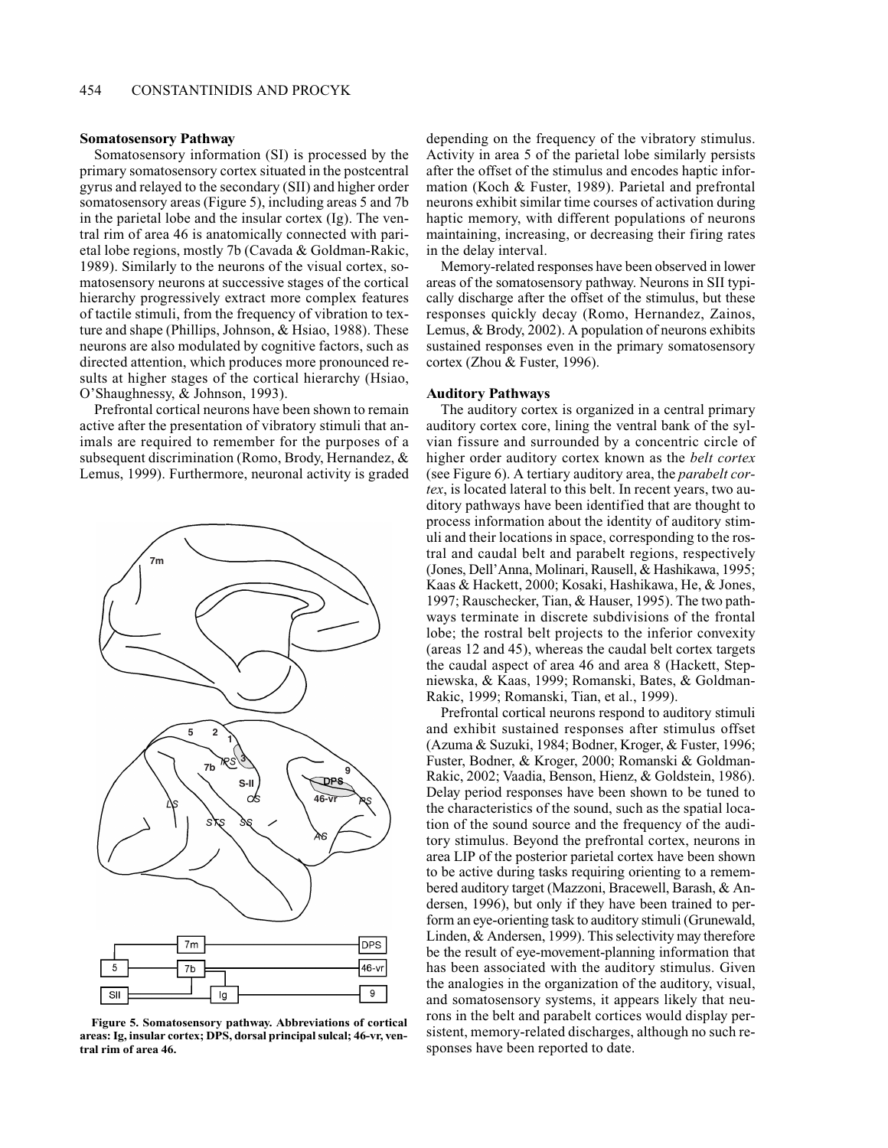#### **Somatosensory Pathway**

Somatosensory information (SI) is processed by the primary somatosensory cortex situated in the postcentral gyrus and relayed to the secondary (SII) and higher order somatosensory areas (Figure 5), including areas 5 and 7b in the parietal lobe and the insular cortex (Ig). The ventral rim of area 46 is anatomically connected with parietal lobe regions, mostly 7b (Cavada & Goldman-Rakic, 1989). Similarly to the neurons of the visual cortex, somatosensory neurons at successive stages of the cortical hierarchy progressively extract more complex features of tactile stimuli, from the frequency of vibration to texture and shape (Phillips, Johnson, & Hsiao, 1988). These neurons are also modulated by cognitive factors, such as directed attention, which produces more pronounced results at higher stages of the cortical hierarchy (Hsiao, O'Shaughnessy, & Johnson, 1993).

Prefrontal cortical neurons have been shown to remain active after the presentation of vibratory stimuli that animals are required to remember for the purposes of a subsequent discrimination (Romo, Brody, Hernandez, & Lemus, 1999). Furthermore, neuronal activity is graded



Figure 5. Somatosensory pathway. Abbreviations of cortical areas: Ig, insular cortex; DPS, dorsal principal sulcal; 46-vr, ventral rim of area 46.

depending on the frequency of the vibratory stimulus. Activity in area 5 of the parietal lobe similarly persists after the offset of the stimulus and encodes haptic information (Koch & Fuster, 1989). Parietal and prefrontal neurons exhibit similar time courses of activation during haptic memory, with different populations of neurons maintaining, increasing, or decreasing their firing rates in the delay interval.

Memory-related responses have been observed in lower areas of the somatosensory pathway. Neurons in SII typically discharge after the offset of the stimulus, but these responses quickly decay (Romo, Hernandez, Zainos, Lemus, & Brody, 2002). A population of neurons exhibits sustained responses even in the primary somatosensory cortex (Zhou & Fuster, 1996).

#### **Auditory Pathways**

The auditory cortex is organized in a central primary auditory cortex core, lining the ventral bank of the sylvian fissure and surrounded by a concentric circle of higher order auditory cortex known as the *belt cortex* (see Figure 6). A tertiary auditory area, the *parabelt cor*tex, is located lateral to this belt. In recent years, two auditory pathways have been identified that are thought to process information about the identity of auditory stimuli and their locations in space, corresponding to the rostral and caudal belt and parabelt regions, respectively (Jones, Dell'Anna, Molinari, Rausell, & Hashikawa, 1995; Kaas & Hackett, 2000; Kosaki, Hashikawa, He, & Jones, 1997; Rauschecker, Tian, & Hauser, 1995). The two pathways terminate in discrete subdivisions of the frontal lobe; the rostral belt projects to the inferior convexity (areas 12 and 45), whereas the caudal belt cortex targets the caudal aspect of area 46 and area 8 (Hackett, Stepniewska, & Kaas, 1999; Romanski, Bates, & Goldman-Rakic, 1999; Romanski, Tian, et al., 1999).

Prefrontal cortical neurons respond to auditory stimuli and exhibit sustained responses after stimulus offset (Azuma & Suzuki, 1984; Bodner, Kroger, & Fuster, 1996; Fuster, Bodner, & Kroger, 2000; Romanski & Goldman-Rakic, 2002; Vaadia, Benson, Hienz, & Goldstein, 1986). Delay period responses have been shown to be tuned to the characteristics of the sound, such as the spatial location of the sound source and the frequency of the auditory stimulus. Beyond the prefrontal cortex, neurons in area LIP of the posterior parietal cortex have been shown to be active during tasks requiring orienting to a remembered auditory target (Mazzoni, Bracewell, Barash, & Andersen, 1996), but only if they have been trained to perform an eye-orienting task to auditory stimuli (Grunewald, Linden, & Andersen, 1999). This selectivity may therefore be the result of eye-movement-planning information that has been associated with the auditory stimulus. Given the analogies in the organization of the auditory, visual, and somatosensory systems, it appears likely that neurons in the belt and parabelt cortices would display persistent, memory-related discharges, although no such responses have been reported to date.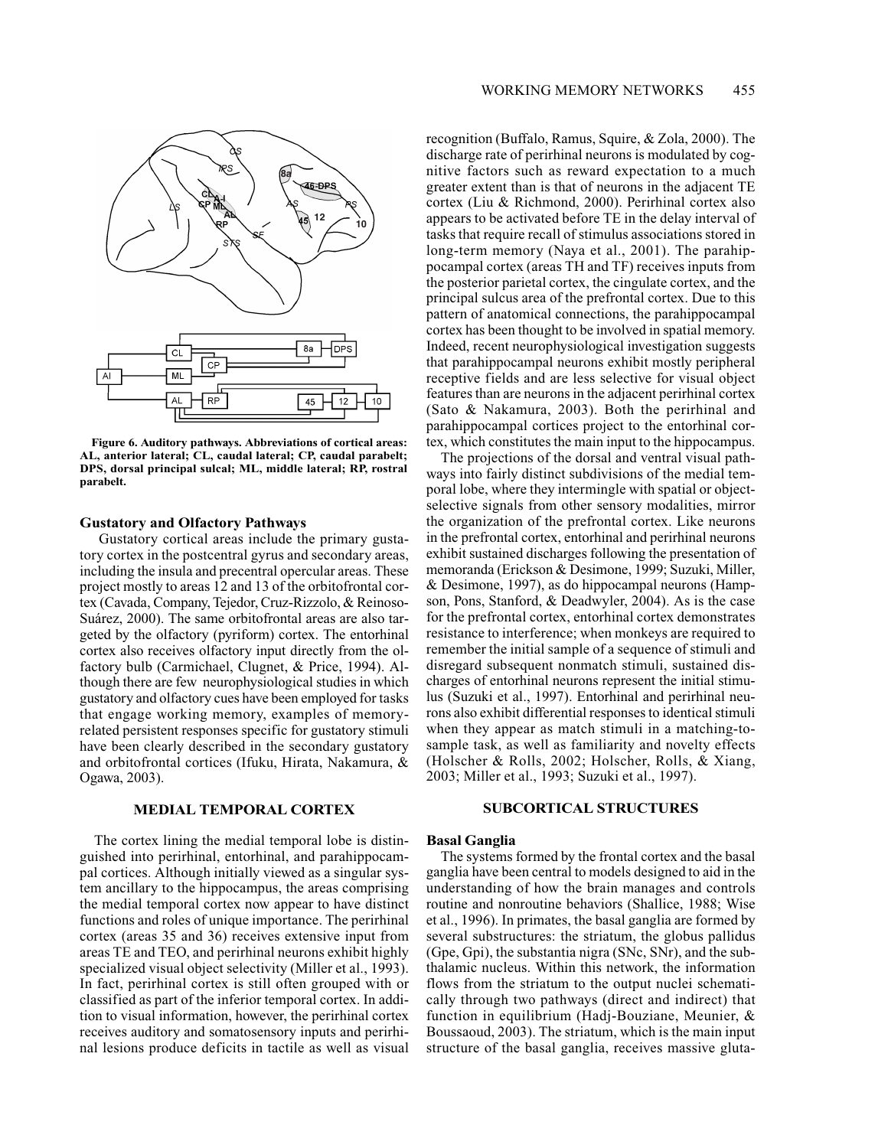

Figure 6. Auditory pathways. Abbreviations of cortical areas: AL, anterior lateral; CL, caudal lateral; CP, caudal parabelt; DPS, dorsal principal sulcal; ML, middle lateral; RP, rostral parabelt.

#### **Gustatory and Olfactory Pathways**

Gustatory cortical areas include the primary gustatory cortex in the postcentral gyrus and secondary areas, including the insula and precentral opercular areas. These project mostly to areas 12 and 13 of the orbitofrontal cortex (Cavada, Company, Tejedor, Cruz-Rizzolo, & Reinoso-Suárez, 2000). The same orbitofrontal areas are also targeted by the olfactory (pyriform) cortex. The entorhinal cortex also receives olfactory input directly from the olfactory bulb (Carmichael, Clugnet, & Price, 1994). Although there are few neurophysiological studies in which gustatory and olfactory cues have been employed for tasks that engage working memory, examples of memoryrelated persistent responses specific for gustatory stimuli have been clearly described in the secondary gustatory and orbitofrontal cortices (Ifuku, Hirata, Nakamura, & Ogawa, 2003).

## **MEDIAL TEMPORAL CORTEX**

The cortex lining the medial temporal lobe is distinguished into perirhinal, entorhinal, and parahippocampal cortices. Although initially viewed as a singular system ancillary to the hippocampus, the areas comprising the medial temporal cortex now appear to have distinct functions and roles of unique importance. The perirhinal cortex (areas 35 and 36) receives extensive input from areas TE and TEO, and perirhinal neurons exhibit highly specialized visual object selectivity (Miller et al., 1993). In fact, perirhinal cortex is still often grouped with or classified as part of the inferior temporal cortex. In addition to visual information, however, the perirhinal cortex receives auditory and somatosensory inputs and perirhinal lesions produce deficits in tactile as well as visual

recognition (Buffalo, Ramus, Squire, & Zola, 2000). The discharge rate of perirhinal neurons is modulated by cognitive factors such as reward expectation to a much greater extent than is that of neurons in the adjacent TE cortex (Liu & Richmond, 2000). Perirhinal cortex also appears to be activated before TE in the delay interval of tasks that require recall of stimulus associations stored in long-term memory (Naya et al., 2001). The parahippocampal cortex (areas TH and TF) receives inputs from the posterior parietal cortex, the cingulate cortex, and the principal sulcus area of the prefrontal cortex. Due to this pattern of anatomical connections, the parahippocampal cortex has been thought to be involved in spatial memory. Indeed, recent neurophysiological investigation suggests that parahippocampal neurons exhibit mostly peripheral receptive fields and are less selective for visual object features than are neurons in the adjacent perirhinal cortex (Sato & Nakamura, 2003). Both the perirhinal and parahippocampal cortices project to the entorhinal cortex, which constitutes the main input to the hippocampus.

The projections of the dorsal and ventral visual pathways into fairly distinct subdivisions of the medial temporal lobe, where they intermingle with spatial or objectselective signals from other sensory modalities, mirror the organization of the prefrontal cortex. Like neurons in the prefrontal cortex, entorhinal and perirhinal neurons exhibit sustained discharges following the presentation of memoranda (Erickson & Desimone, 1999; Suzuki, Miller, & Desimone, 1997), as do hippocampal neurons (Hampson, Pons, Stanford, & Deadwyler, 2004). As is the case for the prefrontal cortex, entorhinal cortex demonstrates resistance to interference; when monkeys are required to remember the initial sample of a sequence of stimuli and disregard subsequent nonmatch stimuli, sustained discharges of entorhinal neurons represent the initial stimulus (Suzuki et al., 1997). Entorhinal and perirhinal neurons also exhibit differential responses to identical stimuli when they appear as match stimuli in a matching-tosample task, as well as familiarity and novelty effects (Holscher & Rolls, 2002; Holscher, Rolls, & Xiang, 2003; Miller et al., 1993; Suzuki et al., 1997).

# **SUBCORTICAL STRUCTURES**

## **Basal Ganglia**

The systems formed by the frontal cortex and the basal ganglia have been central to models designed to aid in the understanding of how the brain manages and controls routine and nonroutine behaviors (Shallice, 1988; Wise et al., 1996). In primates, the basal ganglia are formed by several substructures: the striatum, the globus pallidus (Gpe, Gpi), the substantia nigra (SNc, SNr), and the subthalamic nucleus. Within this network, the information flows from the striatum to the output nuclei schematically through two pathways (direct and indirect) that function in equilibrium (Hadj-Bouziane, Meunier, & Boussaoud, 2003). The striatum, which is the main input structure of the basal ganglia, receives massive gluta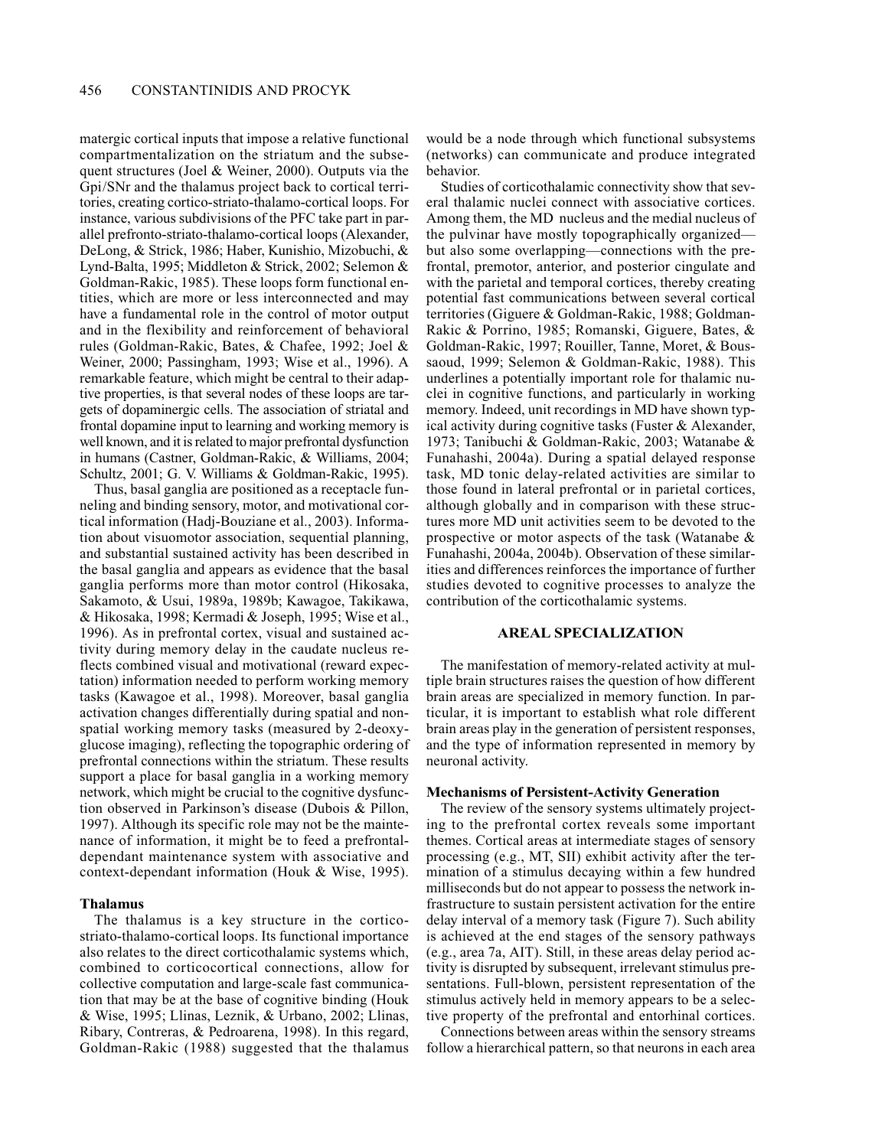matergic cortical inputs that impose a relative functional compartmentalization on the striatum and the subsequent structures (Joel & Weiner, 2000). Outputs via the Gpi/SNr and the thalamus project back to cortical territories, creating cortico-striato-thalamo-cortical loops. For instance, various subdivisions of the PFC take part in parallel prefronto-striato-thalamo-cortical loops (Alexander, DeLong, & Strick, 1986; Haber, Kunishio, Mizobuchi, & Lynd-Balta, 1995; Middleton & Strick, 2002; Selemon & Goldman-Rakic, 1985). These loops form functional entities, which are more or less interconnected and may have a fundamental role in the control of motor output and in the flexibility and reinforcement of behavioral rules (Goldman-Rakic, Bates, & Chafee, 1992; Joel & Weiner, 2000; Passingham, 1993; Wise et al., 1996). A remarkable feature, which might be central to their adaptive properties, is that several nodes of these loops are targets of dopaminergic cells. The association of striatal and frontal dopamine input to learning and working memory is well known, and it is related to major prefrontal dysfunction in humans (Castner, Goldman-Rakic, & Williams, 2004; Schultz, 2001; G. V. Williams & Goldman-Rakic, 1995).

Thus, basal ganglia are positioned as a receptacle funneling and binding sensory, motor, and motivational cortical information (Hadj-Bouziane et al., 2003). Information about visuomotor association, sequential planning, and substantial sustained activity has been described in the basal ganglia and appears as evidence that the basal ganglia performs more than motor control (Hikosaka, Sakamoto, & Usui, 1989a, 1989b; Kawagoe, Takikawa, & Hikosaka, 1998; Kermadi & Joseph, 1995; Wise et al., 1996). As in prefrontal cortex, visual and sustained activity during memory delay in the caudate nucleus reflects combined visual and motivational (reward expectation) information needed to perform working memory tasks (Kawagoe et al., 1998). Moreover, basal ganglia activation changes differentially during spatial and nonspatial working memory tasks (measured by 2-deoxyglucose imaging), reflecting the topographic ordering of prefrontal connections within the striatum. These results support a place for basal ganglia in a working memory network, which might be crucial to the cognitive dysfunction observed in Parkinson's disease (Dubois & Pillon, 1997). Although its specific role may not be the maintenance of information, it might be to feed a prefrontaldependant maintenance system with associative and context-dependant information (Houk & Wise, 1995).

## **Thalamus**

The thalamus is a key structure in the corticostriato-thalamo-cortical loops. Its functional importance also relates to the direct corticothalamic systems which, combined to corticocortical connections, allow for collective computation and large-scale fast communication that may be at the base of cognitive binding (Houk & Wise, 1995; Llinas, Leznik, & Urbano, 2002; Llinas, Ribary, Contreras, & Pedroarena, 1998). In this regard, Goldman-Rakic (1988) suggested that the thalamus

would be a node through which functional subsystems (networks) can communicate and produce integrated behavior.

Studies of corticothalamic connectivity show that several thalamic nuclei connect with associative cortices. Among them, the MD nucleus and the medial nucleus of the pulvinar have mostly topographically organizedbut also some overlapping—connections with the prefrontal, premotor, anterior, and posterior cingulate and with the parietal and temporal cortices, thereby creating potential fast communications between several cortical territories (Giguere & Goldman-Rakic, 1988; Goldman-Rakic & Porrino, 1985; Romanski, Giguere, Bates, & Goldman-Rakic, 1997; Rouiller, Tanne, Moret, & Boussaoud, 1999; Selemon & Goldman-Rakic, 1988). This underlines a potentially important role for thalamic nuclei in cognitive functions, and particularly in working memory. Indeed, unit recordings in MD have shown typical activity during cognitive tasks (Fuster & Alexander, 1973; Tanibuchi & Goldman-Rakic, 2003; Watanabe & Funahashi, 2004a). During a spatial delayed response task, MD tonic delay-related activities are similar to those found in lateral prefrontal or in parietal cortices, although globally and in comparison with these structures more MD unit activities seem to be devoted to the prospective or motor aspects of the task (Watanabe & Funahashi, 2004a, 2004b). Observation of these similarities and differences reinforces the importance of further studies devoted to cognitive processes to analyze the contribution of the corticothalamic systems.

## **AREAL SPECIALIZATION**

The manifestation of memory-related activity at multiple brain structures raises the question of how different brain areas are specialized in memory function. In particular, it is important to establish what role different brain areas play in the generation of persistent responses, and the type of information represented in memory by neuronal activity.

#### **Mechanisms of Persistent-Activity Generation**

The review of the sensory systems ultimately projecting to the prefrontal cortex reveals some important themes. Cortical areas at intermediate stages of sensory processing (e.g., MT, SII) exhibit activity after the termination of a stimulus decaying within a few hundred milliseconds but do not appear to possess the network infrastructure to sustain persistent activation for the entire delay interval of a memory task (Figure 7). Such ability is achieved at the end stages of the sensory pathways (e.g., area 7a, AIT). Still, in these areas delay period activity is disrupted by subsequent, irrelevant stimulus presentations. Full-blown, persistent representation of the stimulus actively held in memory appears to be a selective property of the prefrontal and entorhinal cortices.

Connections between areas within the sensory streams follow a hierarchical pattern, so that neurons in each area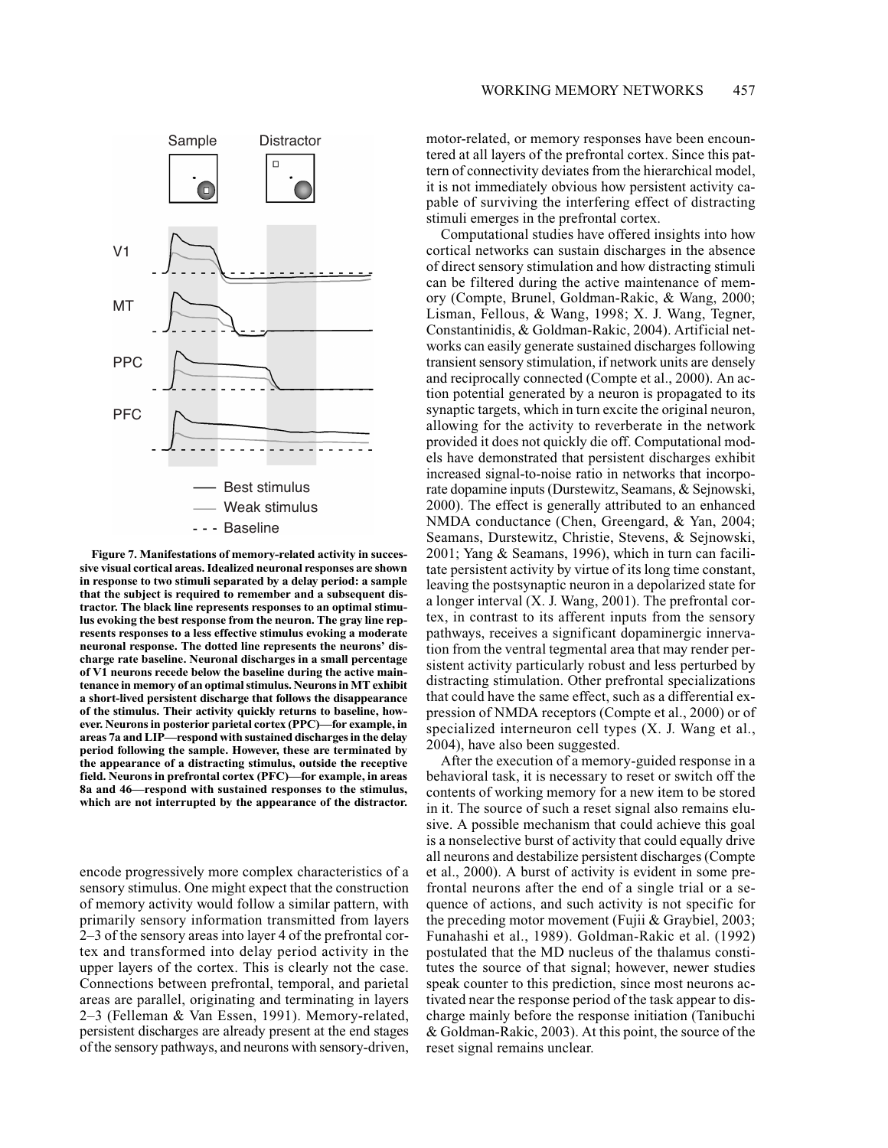

Figure 7. Manifestations of memory-related activity in successive visual cortical areas. Idealized neuronal responses are shown in response to two stimuli separated by a delay period: a sample that the subject is required to remember and a subsequent distractor. The black line represents responses to an optimal stimulus evoking the best response from the neuron. The gray line represents responses to a less effective stimulus evoking a moderate neuronal response. The dotted line represents the neurons' discharge rate baseline. Neuronal discharges in a small percentage of V1 neurons recede below the baseline during the active maintenance in memory of an optimal stimulus. Neurons in MT exhibit a short-lived persistent discharge that follows the disappearance of the stimulus. Their activity quickly returns to baseline, however. Neurons in posterior parietal cortex (PPC)—for example, in areas 7a and LIP—respond with sustained discharges in the delay period following the sample. However, these are terminated by the appearance of a distracting stimulus, outside the receptive field. Neurons in prefrontal cortex (PFC)—for example, in areas 8a and 46—respond with sustained responses to the stimulus, which are not interrupted by the appearance of the distractor.

encode progressively more complex characteristics of a sensory stimulus. One might expect that the construction of memory activity would follow a similar pattern, with primarily sensory information transmitted from layers 2–3 of the sensory areas into layer 4 of the prefrontal cortex and transformed into delay period activity in the upper layers of the cortex. This is clearly not the case. Connections between prefrontal, temporal, and parietal areas are parallel, originating and terminating in layers 2-3 (Felleman & Van Essen, 1991). Memory-related, persistent discharges are already present at the end stages of the sensory pathways, and neurons with sensory-driven,

motor-related, or memory responses have been encountered at all layers of the prefrontal cortex. Since this pattern of connectivity deviates from the hierarchical model, it is not immediately obvious how persistent activity capable of surviving the interfering effect of distracting stimuli emerges in the prefrontal cortex.

Computational studies have offered insights into how cortical networks can sustain discharges in the absence of direct sensory stimulation and how distracting stimuli can be filtered during the active maintenance of memory (Compte, Brunel, Goldman-Rakic, & Wang, 2000; Lisman, Fellous, & Wang, 1998; X. J. Wang, Tegner, Constantinidis, & Goldman-Rakic, 2004). Artificial networks can easily generate sustained discharges following transient sensory stimulation, if network units are densely and reciprocally connected (Compte et al., 2000). An action potential generated by a neuron is propagated to its synaptic targets, which in turn excite the original neuron, allowing for the activity to reverberate in the network provided it does not quickly die off. Computational models have demonstrated that persistent discharges exhibit increased signal-to-noise ratio in networks that incorporate dopamine inputs (Durstewitz, Seamans, & Sejnowski, 2000). The effect is generally attributed to an enhanced NMDA conductance (Chen, Greengard, & Yan, 2004; Seamans, Durstewitz, Christie, Stevens, & Sejnowski, 2001; Yang & Seamans, 1996), which in turn can facilitate persistent activity by virtue of its long time constant, leaving the postsynaptic neuron in a depolarized state for a longer interval (X. J. Wang, 2001). The prefrontal cortex, in contrast to its afferent inputs from the sensory pathways, receives a significant dopaminergic innervation from the ventral tegmental area that may render persistent activity particularly robust and less perturbed by distracting stimulation. Other prefrontal specializations that could have the same effect, such as a differential expression of NMDA receptors (Compte et al., 2000) or of specialized interneuron cell types (X. J. Wang et al., 2004), have also been suggested.

After the execution of a memory-guided response in a behavioral task, it is necessary to reset or switch off the contents of working memory for a new item to be stored in it. The source of such a reset signal also remains elusive. A possible mechanism that could achieve this goal is a nonselective burst of activity that could equally drive all neurons and destabilize persistent discharges (Compte et al., 2000). A burst of activity is evident in some prefrontal neurons after the end of a single trial or a sequence of actions, and such activity is not specific for the preceding motor movement (Fujii & Graybiel, 2003; Funahashi et al., 1989). Goldman-Rakic et al. (1992) postulated that the MD nucleus of the thalamus constitutes the source of that signal; however, newer studies speak counter to this prediction, since most neurons activated near the response period of the task appear to discharge mainly before the response initiation (Tanibuchi & Goldman-Rakic, 2003). At this point, the source of the reset signal remains unclear.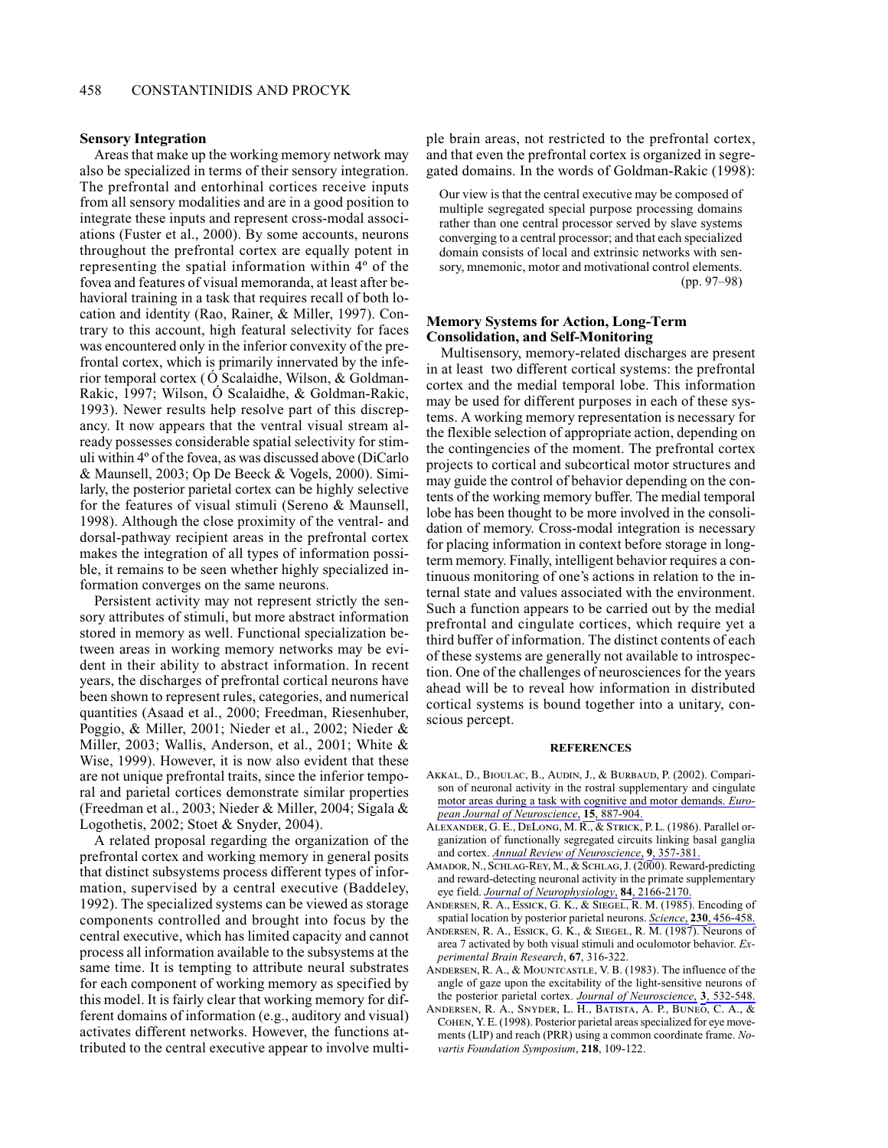#### **Sensory Integration**

Areas that make up the working memory network may also be specialized in terms of their sensory integration. The prefrontal and entorhinal cortices receive inputs from all sensory modalities and are in a good position to integrate these inputs and represent cross-modal associations (Fuster et al., 2000). By some accounts, neurons throughout the prefrontal cortex are equally potent in representing the spatial information within 4° of the fovea and features of visual memoranda, at least after behavioral training in a task that requires recall of both location and identity (Rao, Rainer, & Miller, 1997). Contrary to this account, high featural selectivity for faces was encountered only in the inferior convexity of the prefrontal cortex, which is primarily innervated by the inferior temporal cortex (O Scalaidhe, Wilson, & Goldman-Rakic, 1997; Wilson, Ó Scalaidhe, & Goldman-Rakic, 1993). Newer results help resolve part of this discrepancy. It now appears that the ventral visual stream already possesses considerable spatial selectivity for stimuli within 4° of the fovea, as was discussed above (DiCarlo & Maunsell, 2003; Op De Beeck & Vogels, 2000). Similarly, the posterior parietal cortex can be highly selective for the features of visual stimuli (Sereno & Maunsell, 1998). Although the close proximity of the ventral- and dorsal-pathway recipient areas in the prefrontal cortex makes the integration of all types of information possible, it remains to be seen whether highly specialized information converges on the same neurons.

Persistent activity may not represent strictly the sensory attributes of stimuli, but more abstract information stored in memory as well. Functional specialization between areas in working memory networks may be evident in their ability to abstract information. In recent years, the discharges of prefrontal cortical neurons have been shown to represent rules, categories, and numerical quantities (Asaad et al., 2000; Freedman, Riesenhuber, Poggio, & Miller, 2001; Nieder et al., 2002; Nieder & Miller, 2003; Wallis, Anderson, et al., 2001; White & Wise, 1999). However, it is now also evident that these are not unique prefrontal traits, since the inferior temporal and parietal cortices demonstrate similar properties (Freedman et al., 2003; Nieder & Miller, 2004; Sigala & Logothetis, 2002; Stoet & Snyder, 2004).

A related proposal regarding the organization of the prefrontal cortex and working memory in general posits that distinct subsystems process different types of information, supervised by a central executive (Baddeley, 1992). The specialized systems can be viewed as storage components controlled and brought into focus by the central executive, which has limited capacity and cannot process all information available to the subsystems at the same time. It is tempting to attribute neural substrates for each component of working memory as specified by this model. It is fairly clear that working memory for different domains of information (e.g., auditory and visual) activates different networks. However, the functions attributed to the central executive appear to involve multiple brain areas, not restricted to the prefrontal cortex, and that even the prefrontal cortex is organized in segregated domains. In the words of Goldman-Rakic (1998):

Our view is that the central executive may be composed of multiple segregated special purpose processing domains rather than one central processor served by slave systems converging to a central processor: and that each specialized domain consists of local and extrinsic networks with sensory, mnemonic, motor and motivational control elements.  $(pp. 97-98)$ 

## **Memory Systems for Action, Long-Term Consolidation, and Self-Monitoring**

Multisensory, memory-related discharges are present in at least two different cortical systems: the prefrontal cortex and the medial temporal lobe. This information may be used for different purposes in each of these systems. A working memory representation is necessary for the flexible selection of appropriate action, depending on the contingencies of the moment. The prefrontal cortex projects to cortical and subcortical motor structures and may guide the control of behavior depending on the contents of the working memory buffer. The medial temporal lobe has been thought to be more involved in the consolidation of memory. Cross-modal integration is necessary for placing information in context before storage in longterm memory. Finally, intelligent behavior requires a continuous monitoring of one's actions in relation to the internal state and values associated with the environment. Such a function appears to be carried out by the medial prefrontal and cingulate cortices, which require yet a third buffer of information. The distinct contents of each of these systems are generally not available to introspection. One of the challenges of neurosciences for the years ahead will be to reveal how information in distributed cortical systems is bound together into a unitary, conscious percept.

#### **REFERENCES**

- AKKAL, D., BIOULAC, B., AUDIN, J., & BURBAUD, P. (2002). Comparison of neuronal activity in the rostral supplementary and cingulate motor areas during a task with cognitive and motor demands. European Journal of Neuroscience, 15, 887-904.
- ALEXANDER, G. E., DELONG, M. R., & STRICK, P. L. (1986). Parallel organization of functionally segregated circuits linking basal ganglia and cortex. Annual Review of Neuroscience, 9, 357-381.
- AMADOR, N., SCHLAG-REY, M., & SCHLAG, J. (2000). Reward-predicting and reward-detecting neuronal activity in the primate supplementary eye field. Journal of Neurophysiology, 84, 2166-2170.
- ANDERSEN, R. A., ESSICK, G. K., & SIEGEL, R. M. (1985). Encoding of spatial location by posterior parietal neurons. Science, 230, 456-458.
- ANDERSEN, R. A., ESSICK, G. K., & SIEGEL, R. M. (1987). Neurons of area 7 activated by both visual stimuli and oculomotor behavior. Experimental Brain Research, 67, 316-322.
- ANDERSEN, R. A., & MOUNTCASTLE, V. B. (1983). The influence of the angle of gaze upon the excitability of the light-sensitive neurons of the posterior parietal cortex. Journal of Neuroscience, 3, 532-548.
- ANDERSEN, R. A., SNYDER, L. H., BATISTA, A. P., BUNEO, C. A., & COHEN, Y. E. (1998). Posterior parietal areas specialized for eye movements (LIP) and reach (PRR) using a common coordinate frame. Novartis Foundation Symposium, 218, 109-122.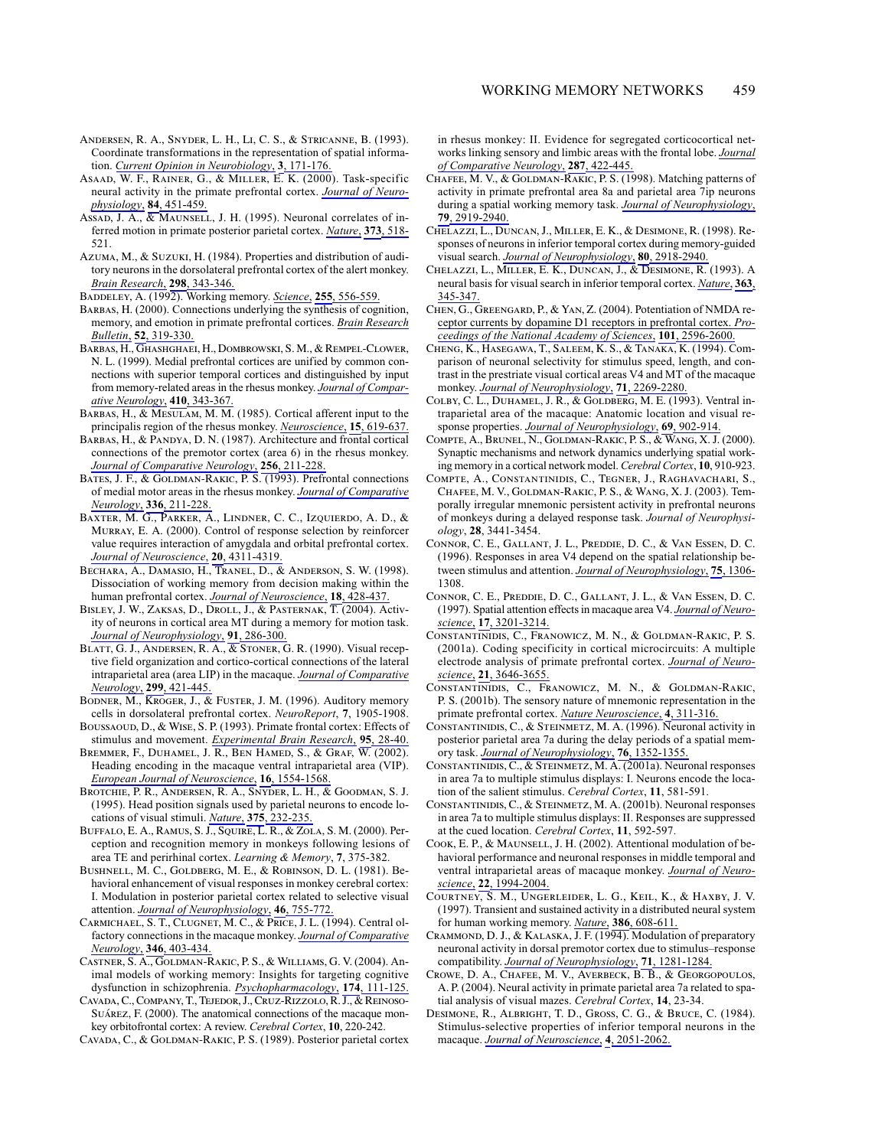- ANDERSEN, R. A., SNYDER, L. H., LI, C. S., & STRICANNE, B. (1993). Coordinate transformations in the representation of spatial information. Current Opinion in Neurobiology, 3, 171-176.
- ASAAD, W. F., RAINER, G., & MILLER, E. K. (2000). Task-specific neural activity in the primate prefrontal cortex. Journal of Neurophysiology, 84, 451-459.
- Assab, J. A., & MAUNSELL, J. H. (1995). Neuronal correlates of inferred motion in primate posterior parietal cortex. Nature, 373, 518-521.
- AZUMA, M., & SUZUKI, H. (1984). Properties and distribution of auditory neurons in the dorsolateral prefrontal cortex of the alert monkey. Brain Research, 298, 343-346.
- BADDELEY, A. (1992). Working memory. Science, 255, 556-559.
- BARBAS, H. (2000). Connections underlying the synthesis of cognition, memory, and emotion in primate prefrontal cortices. Brain Research Bulletin, 52, 319-330.
- BARBAS, H., GHASHGHAEI, H., DOMBROWSKI, S. M., & REMPEL-CLOWER, N. L. (1999). Medial prefrontal cortices are unified by common connections with superior temporal cortices and distinguished by input from memory-related areas in the rhesus monkey. Journal of Comparative Neurology, 410, 343-367.
- BARBAS, H., & MESULAM, M. M. (1985). Cortical afferent input to the principalis region of the rhesus monkey. Neuroscience, 15, 619-637.
- BARBAS, H., & PANDYA, D. N. (1987). Architecture and frontal cortical connections of the premotor cortex (area 6) in the rhesus monkey. Journal of Comparative Neurology, 256, 211-228.
- BATES, J. F., & GOLDMAN-RAKIC, P. S. (1993). Prefrontal connections of medial motor areas in the rhesus monkey. Journal of Comparative Neurology, 336, 211-228.
- BAXTER, M. G., PARKER, A., LINDNER, C. C., IZQUIERDO, A. D., & MURRAY, E. A. (2000). Control of response selection by reinforcer value requires interaction of amygdala and orbital prefrontal cortex. Journal of Neuroscience, 20, 4311-4319.
- BECHARA, A., DAMASIO, H., TRANEL, D., & ANDERSON, S. W. (1998). Dissociation of working memory from decision making within the human prefrontal cortex. Journal of Neuroscience, 18, 428-437.
- BISLEY, J. W., ZAKSAS, D., DROLL, J., & PASTERNAK, T. (2004). Activity of neurons in cortical area MT during a memory for motion task. Journal of Neurophysiology, 91, 286-300.
- BLATT, G. J., ANDERSEN, R. A.,  $\overline{\mathcal{K}}$  STONER, G. R. (1990). Visual receptive field organization and cortico-cortical connections of the lateral intraparietal area (area LIP) in the macaque. Journal of Comparative Neurology, 299, 421-445.
- BODNER, M., KROGER, J., & FUSTER, J. M. (1996). Auditory memory cells in dorsolateral prefrontal cortex. NeuroReport, 7, 1905-1908.
- BOUSSAOUD, D., & WISE, S. P. (1993). Primate frontal cortex: Effects of stimulus and movement. Experimental Brain Research, 95, 28-40.
- BREMMER, F., DUHAMEL, J. R., BEN HAMED, S., & GRAF, W. (2002). Heading encoding in the macaque ventral intraparietal area (VIP). European Journal of Neuroscience, 16, 1554-1568.
- BROTCHIE, P. R., ANDERSEN, R. A., SNYDER, L. H., & GOODMAN, S. J. (1995). Head position signals used by parietal neurons to encode locations of visual stimuli. Nature, 375, 232-235.
- BUFFALO, E. A., RAMUS, S. J., SQUIRE, L. R., & ZOLA, S. M. (2000). Perception and recognition memory in monkeys following lesions of area TE and perirhinal cortex. Learning & Memory, 7, 375-382.
- BUSHNELL, M. C., GOLDBERG, M. E., & ROBINSON, D. L. (1981). Behavioral enhancement of visual responses in monkey cerebral cortex: I. Modulation in posterior parietal cortex related to selective visual attention. Journal of Neurophysiology, 46, 755-772.
- CARMICHAEL, S. T., CLUGNET, M. C., & PRICE, J. L. (1994). Central olfactory connections in the macaque monkey. Journal of Comparative Neurology, 346, 403-434.
- CASTNER, S. A., GOLDMAN-RAKIC, P. S., & WILLIAMS, G. V. (2004). Animal models of working memory: Insights for targeting cognitive dysfunction in schizophrenia. Psychopharmacology, 174, 111-125.
- CAVADA, C., COMPANY, T., TEJEDOR, J., CRUZ-RIZZOLO, R. J., & REINOSO-SUÁREZ, F. (2000). The anatomical connections of the macaque monkey orbitofrontal cortex: A review. Cerebral Cortex, 10, 220-242.

CAVADA, C., & GOLDMAN-RAKIC, P. S. (1989). Posterior parietal cortex

in rhesus monkey: II. Evidence for segregated corticocortical networks linking sensory and limbic areas with the frontal lobe. Journal of Comparative Neurology, 287, 422-445.

- CHAFEE, M. V., & GOLDMAN-RAKIC, P. S. (1998). Matching patterns of activity in primate prefrontal area 8a and parietal area 7ip neurons during a spatial working memory task. Journal of Neurophysiology, 79, 2919-2940.
- CHELAZZI, L., DUNCAN, J., MILLER, E. K., & DESIMONE, R. (1998). Responses of neurons in inferior temporal cortex during memory-guided visual search. Journal of Neurophysiology, 80, 2918-2940.
- CHELAZZI, L., MILLER, E. K., DUNCAN, J., & DESIMONE, R. (1993). A neural basis for visual search in inferior temporal cortex. Nature, 363, 345-347
- CHEN, G., GREENGARD, P., & YAN, Z. (2004). Potentiation of NMDA receptor currents by dopamine D1 receptors in prefrontal cortex. Proceedings of the National Academy of Sciences, 101, 2596-2600.
- CHENG, K., HASEGAWA, T., SALEEM, K. S., & TANAKA, K. (1994). Comparison of neuronal selectivity for stimulus speed, length, and contrast in the prestriate visual cortical areas V4 and MT of the macaque monkey. Journal of Neurophysiology, 71, 2269-2280.
- COLBY, C. L., DUHAMEL, J. R., & GOLDBERG, M. E. (1993). Ventral intraparietal area of the macaque: Anatomic location and visual response properties. Journal of Neurophysiology, 69, 902-914.
- COMPTE, A., BRUNEL, N., GOLDMAN-RAKIC, P. S., & WANG, X. J. (2000). Synaptic mechanisms and network dynamics underlying spatial working memory in a cortical network model. Cerebral Cortex, 10, 910-923.
- COMPTE, A., CONSTANTINIDIS, C., TEGNER, J., RAGHAVACHARI, S., CHAFEE, M. V., GOLDMAN-RAKIC, P. S., & WANG, X. J. (2003). Temporally irregular mnemonic persistent activity in prefrontal neurons of monkeys during a delayed response task. Journal of Neurophysiology, 28, 3441-3454.
- CONNOR, C. E., GALLANT, J. L., PREDDIE, D. C., & VAN ESSEN, D. C. (1996). Responses in area V4 depend on the spatial relationship between stimulus and attention. Journal of Neurophysiology, 75, 1306-1308
- CONNOR, C. E., PREDDIE, D. C., GALLANT, J. L., & VAN ESSEN, D. C. (1997). Spatial attention effects in macaque area V4. Journal of Neuroscience, 17, 3201-3214.
- CONSTANTINIDIS, C., FRANOWICZ, M. N., & GOLDMAN-RAKIC, P. S. (2001a). Coding specificity in cortical microcircuits: A multiple electrode analysis of primate prefrontal cortex. Journal of Neuroscience, 21, 3646-3655.
- CONSTANTINIDIS, C., FRANOWICZ, M. N., & GOLDMAN-RAKIC, P. S. (2001b). The sensory nature of mnemonic representation in the primate prefrontal cortex. Nature Neuroscience, 4, 311-316.
- CONSTANTINIDIS, C., & STEINMETZ, M. A. (1996). Neuronal activity in posterior parietal area 7a during the delay periods of a spatial memory task. Journal of Neurophysiology, 76, 1352-1355.
- CONSTANTINIDIS, C., & STEINMETZ, M. A. (2001a). Neuronal responses in area 7a to multiple stimulus displays: I. Neurons encode the location of the salient stimulus. Cerebral Cortex, 11, 581-591.
- CONSTANTINIDIS, C., & STEINMETZ, M. A. (2001b). Neuronal responses in area 7a to multiple stimulus displays: II. Responses are suppressed at the cued location. Cerebral Cortex, 11, 592-597.
- Соок, Е. Р., & MAUNSELL, J. H. (2002). Attentional modulation of behavioral performance and neuronal responses in middle temporal and ventral intraparietal areas of macaque monkey. Journal of Neuroscience, 22, 1994-2004.
- COURTNEY, S. M., UNGERLEIDER, L. G., KEIL, K., & HAXBY, J. V. (1997). Transient and sustained activity in a distributed neural system for human working memory. Nature, 386, 608-611.
- CRAMMOND, D. J., & KALASKA, J. F. (1994). Modulation of preparatory neuronal activity in dorsal premotor cortex due to stimulus–response compatibility. Journal of Neurophysiology, 71, 1281-1284.
- CROWE, D. A., CHAFEE, M. V., AVERBECK, B. B., & GEORGOPOULOS, A. P. (2004). Neural activity in primate parietal area 7a related to spatial analysis of visual mazes. Cerebral Cortex, 14, 23-34.
- DESIMONE, R., ALBRIGHT, T. D., GROSS, C. G., & BRUCE, C. (1984). Stimulus-selective properties of inferior temporal neurons in the macaque. Journal of Neuroscience, 4, 2051-2062.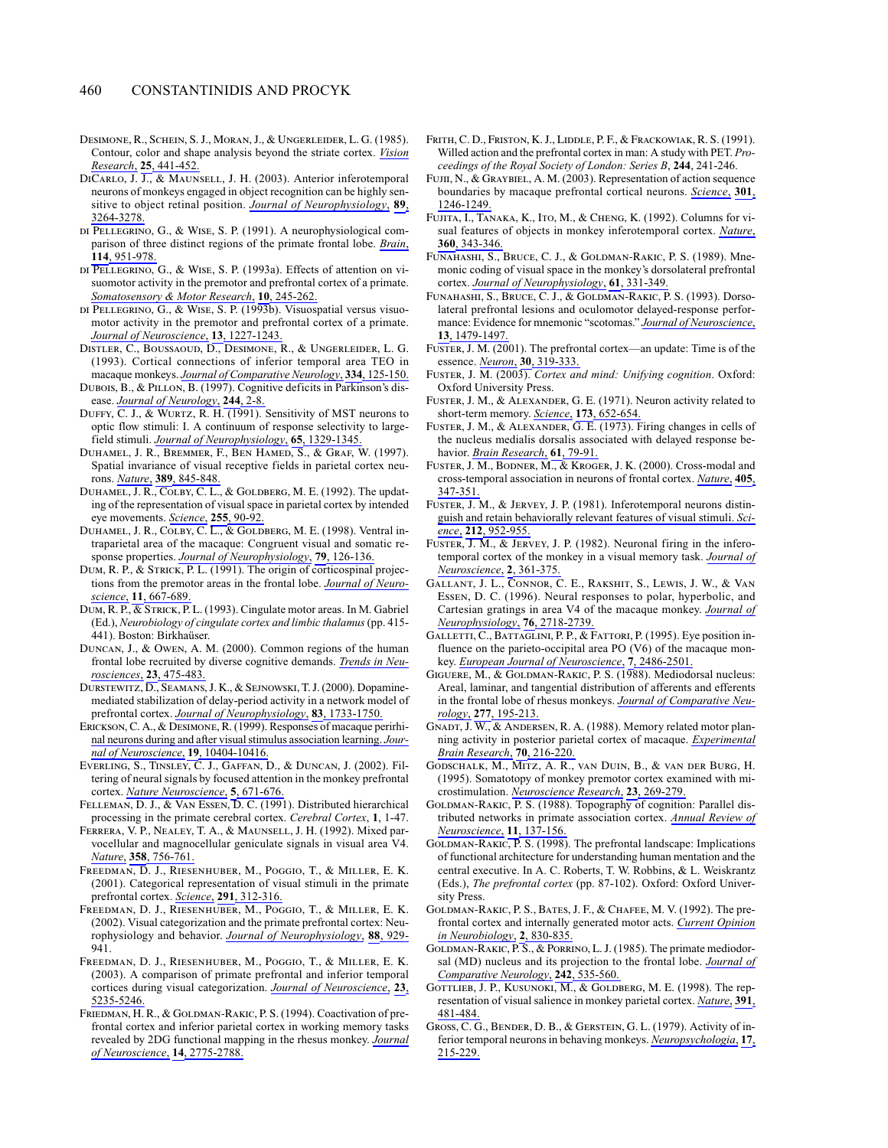- DESIMONE, R., SCHEIN, S. J., MORAN, J., & UNGERLEIDER, L. G. (1985). Contour, color and shape analysis beyond the striate cortex. Vision Research, 25, 441-452.
- DICARLO, J. J., & MAUNSELL, J. H. (2003). Anterior inferotemporal neurons of monkeys engaged in object recognition can be highly sensitive to object retinal position. Journal of Neurophysiology, 89, 3264-3278.
- DI PELLEGRINO, G., & WISE, S. P. (1991). A neurophysiological comparison of three distinct regions of the primate frontal lobe. Brain, 114, 951-978.
- DI PELLEGRINO, G., & WISE, S. P. (1993a). Effects of attention on visuomotor activity in the premotor and prefrontal cortex of a primate. Somatosensory & Motor Research, 10, 245-262.
- DI PELLEGRINO, G., & WISE, S. P. (1993b). Visuospatial versus visuomotor activity in the premotor and prefrontal cortex of a primate. Journal of Neuroscience, 13, 1227-1243.
- DISTLER, C., BOUSSAOUD, D., DESIMONE, R., & UNGERLEIDER, L. G. (1993). Cortical connections of inferior temporal area TEO in macaque monkeys. Journal of Comparative Neurology, 334, 125-150.
- DUBOIS, B., & PILLON, B. (1997). Cognitive deficits in Parkinson's disease. Journal of Neurology, 244, 2-8.
- DUFFY, C. J., & WURTZ, R. H. (1991). Sensitivity of MST neurons to optic flow stimuli: I. A continuum of response selectivity to largefield stimuli. Journal of Neurophysiology, 65, 1329-1345.
- DUHAMEL, J. R., BREMMER, F., BEN HAMED, S., & GRAF, W. (1997). Spatial invariance of visual receptive fields in parietal cortex neurons. Nature, 389, 845-848.
- DUHAMEL, J. R., COLBY, C. L., & GOLDBERG, M. E. (1992). The updating of the representation of visual space in parietal cortex by intended eye movements. Science, 255, 90-92.
- DUHAMEL, J. R., COLBY, C. L., & GOLDBERG, M. E. (1998). Ventral intraparietal area of the macaque: Congruent visual and somatic response properties. Journal of Neurophysiology, 79, 126-136.
- DUM, R. P., & STRICK, P. L. (1991). The origin of corticospinal projections from the premotor areas in the frontal lobe. Journal of Neuroscience, 11, 667-689.
- DUM, R. P.,  $\overline{\&}$  STRICK, P. L. (1993). Cingulate motor areas. In M. Gabriel (Ed.), Neurobiology of cingulate cortex and limbic thalamus (pp. 415-441). Boston: Birkhaüser.
- DUNCAN, J., & OWEN, A. M. (2000). Common regions of the human frontal lobe recruited by diverse cognitive demands. Trends in Neurosciences, 23, 475-483.
- DURSTEWITZ, D., SEAMANS, J. K., & SEJNOWSKI, T. J. (2000). Dopaminemediated stabilization of delay-period activity in a network model of prefrontal cortex. Journal of Neurophysiology, 83, 1733-1750.
- ERICKSON, C. A., & DESIMONE, R. (1999). Responses of macaque perirhinal neurons during and after visual stimulus association learning. Journal of Neuroscience, 19, 10404-10416.
- EVERLING, S., TINSLEY, C. J., GAFFAN, D., & DUNCAN, J. (2002). Filtering of neural signals by focused attention in the monkey prefrontal cortex. Nature Neuroscience, 5, 671-676.
- FELLEMAN, D. J., & VAN ESSEN, D. C. (1991). Distributed hierarchical processing in the primate cerebral cortex. Cerebral Cortex, 1, 1-47.
- FERRERA, V. P., NEALEY, T. A., & MAUNSELL, J. H. (1992). Mixed parvocellular and magnocellular geniculate signals in visual area V4. Nature, 358, 756-761.
- FREEDMAN, D. J., RIESENHUBER, M., POGGIO, T., & MILLER, E. K. (2001). Categorical representation of visual stimuli in the primate prefrontal cortex. Science, 291, 312-316.
- FREEDMAN, D. J., RIESENHUBER, M., POGGIO, T., & MILLER, E. K. (2002). Visual categorization and the primate prefrontal cortex: Neurophysiology and behavior. Journal of Neurophysiology, 88, 929-941.
- FREEDMAN, D. J., RIESENHUBER, M., POGGIO, T., & MILLER, E. K. (2003). A comparison of primate prefrontal and inferior temporal cortices during visual categorization. Journal of Neuroscience, 23, 5235-5246.
- FRIEDMAN, H. R., & GOLDMAN-RAKIC, P. S. (1994). Coactivation of prefrontal cortex and inferior parietal cortex in working memory tasks revealed by 2DG functional mapping in the rhesus monkey. Journal of Neuroscience, 14, 2775-2788.
- FRITH, C. D., FRISTON, K. J., LIDDLE, P. F., & FRACKOWIAK, R. S. (1991). Willed action and the prefrontal cortex in man: A study with PET. Proceedings of the Royal Society of London: Series B, 244, 241-246.
- FUJII, N., & GRAYBIEL, A. M. (2003). Representation of action sequence boundaries by macaque prefrontal cortical neurons. Science, 301, 1246-1249.
- FUJITA, I., TANAKA, K., ITO, M., & CHENG, K. (1992). Columns for visual features of objects in monkey inferotemporal cortex. Nature, 360, 343-346.
- FUNAHASHI, S., BRUCE, C. J., & GOLDMAN-RAKIC, P. S. (1989). Mnemonic coding of visual space in the monkey's dorsolateral prefrontal cortex. Journal of Neurophysiology, 61, 331-349.
- FUNAHASHI, S., BRUCE, C. J., & GOLDMAN-RAKIC, P. S. (1993). Dorsolateral prefrontal lesions and oculomotor delayed-response performance: Evidence for mnemonic "scotomas." Journal of Neuroscience, 13, 1479-1497.
- FUSTER, J. M. (2001). The prefrontal cortex—an update: Time is of the essence. Neuron, 30, 319-333.
- FUSTER, J. M. (2003). Cortex and mind: Unifying cognition. Oxford: Oxford University Press.
- FUSTER, J. M., & ALEXANDER, G. E. (1971). Neuron activity related to short-term memory. Science, 173, 652-654.
- FUSTER, J. M., & ALEXANDER, G. E. (1973). Firing changes in cells of the nucleus medialis dorsalis associated with delayed response behavior. Brain Research, 61, 79-91.
- FUSTER, J. M., BODNER, M., & KROGER, J. K. (2000). Cross-modal and cross-temporal association in neurons of frontal cortex. Nature, 405, 347-351.
- FUSTER, J. M., & JERVEY, J. P. (1981). Inferotemporal neurons distinguish and retain behaviorally relevant features of visual stimuli. Science, 212, 952-955.
- FUSTER, J. M., & JERVEY, J. P. (1982). Neuronal firing in the inferotemporal cortex of the monkey in a visual memory task. Journal of <u>Neuroscience,</u> 2, 361-375.
- GALLANT, J. L., CONNOR, C. E., RAKSHIT, S., LEWIS, J. W., & VAN ESSEN, D. C. (1996). Neural responses to polar, hyperbolic, and Cartesian gratings in area V4 of the macaque monkey. Journal of Neurophysiology, 76, 2718-2739.
- GALLETTI, C., BATTAGLINI, P. P., & FATTORI, P. (1995). Eye position influence on the parieto-occipital area PO (V6) of the macaque monkey. European Journal of Neuroscience, 7, 2486-2501.
- GIGUERE, M., & GOLDMAN-RAKIC, P. S. (1988). Mediodorsal nucleus: Areal, laminar, and tangential distribution of afferents and efferents in the frontal lobe of rhesus monkeys. Journal of Comparative Neurology, 277, 195-213.
- GNADT, J. W., & ANDERSEN, R. A. (1988). Memory related motor planning activity in posterior parietal cortex of macaque. Experimental Brain Research, 70, 216-220.
- GODSCHALK, M., MITZ, A. R., VAN DUIN, B., & VAN DER BURG, H. (1995). Somatotopy of monkey premotor cortex examined with microstimulation. Neuroscience Research, 23, 269-279.
- GOLDMAN-RAKIC, P. S. (1988). Topography of cognition: Parallel distributed networks in primate association cortex. Annual Review of Neuroscience, 11, 137-156.
- GOLDMAN-RAKIC, P. S. (1998). The prefrontal landscape: Implications of functional architecture for understanding human mentation and the central executive. In A. C. Roberts, T. W. Robbins, & L. Weiskrantz (Eds.), The prefrontal cortex (pp. 87-102). Oxford: Oxford University Press.
- GOLDMAN-RAKIC, P. S., BATES, J. F., & CHAFEE, M. V. (1992). The prefrontal cortex and internally generated motor acts. Current Opinion in Neurobiology, 2, 830-835.
- GOLDMAN-RAKIC, P.S., & PORRINO, L.J. (1985). The primate mediodorsal (MD) nucleus and its projection to the frontal lobe. *Journal of* Comparative Neurology, 242, 535-560.
- GOTTLIEB, J. P., KUSUNOKI, M., & GOLDBERG, M. E. (1998). The representation of visual salience in monkey parietal cortex. Nature, 391, 481-484
- GROSS, C. G., BENDER, D. B., & GERSTEIN, G. L. (1979). Activity of inferior temporal neurons in behaving monkeys. Neuropsychologia, 17, 215-229.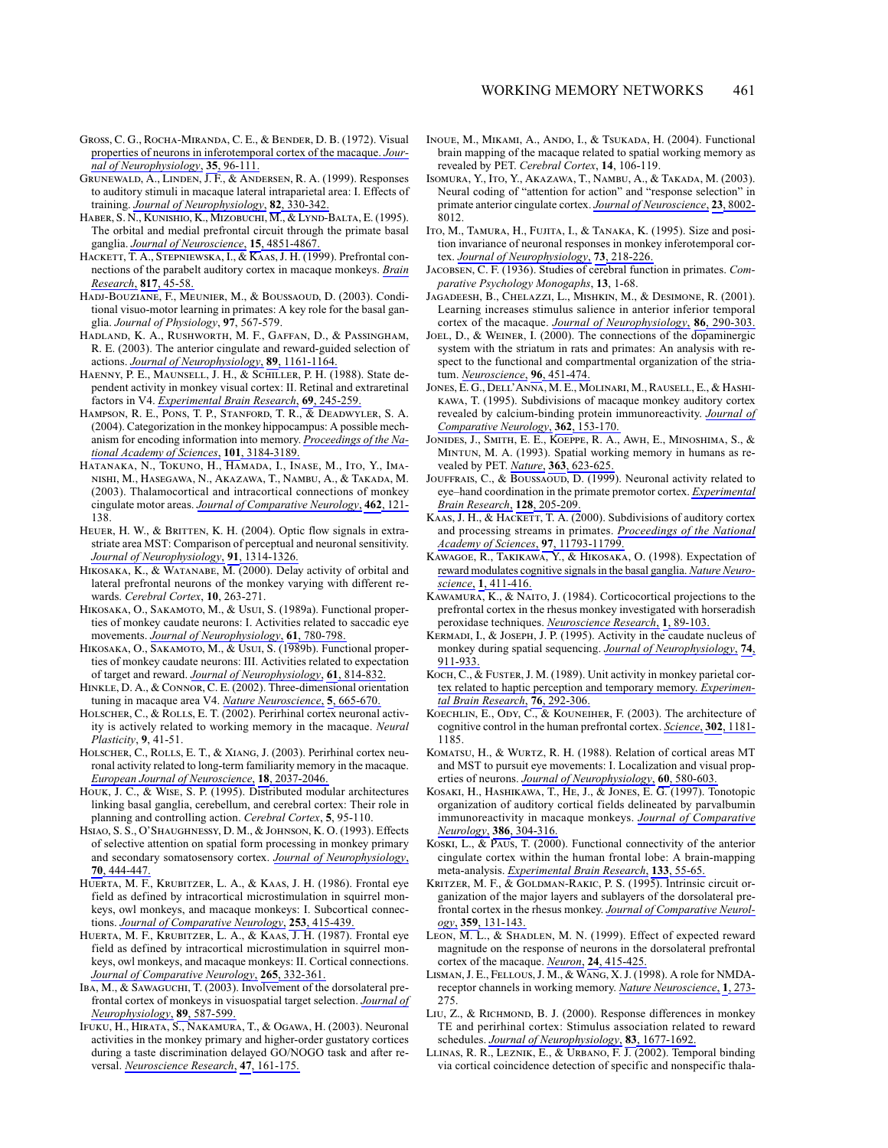- GROSS, C. G., ROCHA-MIRANDA, C. E., & BENDER, D. B. (1972). Visual properties of neurons in inferotemporal cortex of the macaque. Journal of Neurophysiology, 35, 96-111.
- GRUNEWALD, A., LINDEN, J.F., & ANDERSEN, R. A. (1999). Responses to auditory stimuli in macaque lateral intraparietal area: I. Effects of training. Journal of Neurophysiology, 82, 330-342
- HABER, S. N., KUNISHIO, K., MIZOBUCHI, M., & LYND-BALTA, E. (1995). The orbital and medial prefrontal circuit through the primate basal ganglia. Journal of Neuroscience, 15, 4851-4867.
- HACKETT, T. A., STEPNIEWSKA, I., & KAAS, J. H. (1999). Prefrontal connections of the parabelt auditory cortex in macaque monkeys. Brain Research, 817, 45-58.
- HADJ-BOUZIANE, F., MEUNIER, M., & BOUSSAOUD, D. (2003). Conditional visuo-motor learning in primates: A key role for the basal ganglia. Journal of Physiology, 97, 567-579.
- HADLAND, K. A., RUSHWORTH, M. F., GAFFAN, D., & PASSINGHAM, R. E. (2003). The anterior cingulate and reward-guided selection of actions. Journal of Neurophysiology, 89, 1161-1164.
- HAENNY, P. E., MAUNSELL, J. H., & SCHILLER, P. H. (1988). State dependent activity in monkey visual cortex: II. Retinal and extraretinal factors in V4. Experimental Brain Research, 69, 245-259.
- HAMPSON, R. E., PONS, T. P., STANFORD, T. R., & DEADWYLER, S. A. (2004). Categorization in the monkey hippocampus: A possible mechanism for encoding information into memory. Proceedings of the National Academy of Sciences, 101, 3184-3189.
- HATANAKA, N., TOKUNO, H., HAMADA, I., INASE, M., ITO, Y., IMA-NISHI, M., HASEGAWA, N., AKAZAWA, T., NAMBU, A., & TAKADA, M. (2003). Thalamocortical and intracortical connections of monkey cingulate motor areas. Journal of Comparative Neurology, 462, 121-138
- HEUER, H. W., & BRITTEN, K. H. (2004). Optic flow signals in extrastriate area MST: Comparison of perceptual and neuronal sensitivity. Journal of Neurophysiology, 91, 1314-1326.
- HIKOSAKA, K., & WATANABE, M. (2000). Delay activity of orbital and lateral prefrontal neurons of the monkey varying with different rewards. Cerebral Cortex, 10, 263-271.
- HIKOSAKA, O., SAKAMOTO, M., & Usui, S. (1989a). Functional properties of monkey caudate neurons: I. Activities related to saccadic eye movements. Journal of Neurophysiology, 61, 780-798.
- HIKOSAKA, O., SAKAMOTO, M., & Usul, S. (1989b). Functional properties of monkey caudate neurons: III. Activities related to expectation of target and reward. Journal of Neurophysiology, 61, 814-832.
- HINKLE, D. A., & CONNOR, C. E. (2002). Three-dimensional orientation tuning in macaque area V4. Nature Neuroscience, 5, 665-670.
- HOLSCHER, C., & ROLLS, E. T. (2002). Perirhinal cortex neuronal activity is actively related to working memory in the macaque. Neural Plasticity, 9, 41-51.
- HOLSCHER, C., ROLLS, E. T., & XIANG, J. (2003). Perirhinal cortex neuronal activity related to long-term familiarity memory in the macaque. European Journal of Neuroscience, 18, 2037-2046.
- HOUK, J. C., & WISE, S. P. (1995). Distributed modular architectures linking basal ganglia, cerebellum, and cerebral cortex: Their role in planning and controlling action. Cerebral Cortex, 5, 95-110.
- HSIAO, S. S., O'SHAUGHNESSY, D. M., & JOHNSON, K. O. (1993). Effects of selective attention on spatial form processing in monkey primary and secondary somatosensory cortex. Journal of Neurophysiology, 70, 444-447.
- HUERTA, M. F., KRUBITZER, L. A., & KAAS, J. H. (1986). Frontal eye field as defined by intracortical microstimulation in squirrel monkeys, owl monkeys, and macaque monkeys: I. Subcortical connections. Journal of Comparative Neurology, 253, 415-439.
- HUERTA, M. F., KRUBITZER, L. A., & KAAS, J. H. (1987). Frontal eye field as defined by intracortical microstimulation in squirrel monkeys, owl monkeys, and macaque monkeys: II. Cortical connections. Journal of Comparative Neurology, 265, 332-361.
- IBA, M., & SAWAGUCHI, T. (2003). Involvement of the dorsolateral prefrontal cortex of monkeys in visuospatial target selection. Journal of Neurophysiology, 89, 587-599.
- IFUKU, H., HIRATA, S., NAKAMURA, T., & OGAWA, H. (2003). Neuronal activities in the monkey primary and higher-order gustatory cortices during a taste discrimination delayed GO/NOGO task and after reversal. Neuroscience Research, 47, 161-175.
- INOUE, M., MIKAMI, A., ANDO, I., & TSUKADA, H. (2004). Functional brain mapping of the macaque related to spatial working memory as revealed by PET. Cerebral Cortex, 14, 106-119.
- ISOMURA, Y., ITO, Y., AKAZAWA, T., NAMBU, A., & TAKADA, M. (2003). Neural coding of "attention for action" and "response selection" in primate anterior cingulate cortex. Journal of Neuroscience, 23, 8002-8012
- ITO, M., TAMURA, H., FUJITA, I., & TANAKA, K. (1995). Size and position invariance of neuronal responses in monkey inferotemporal cortex. Journal of Neurophysiology, 73, 218-226.
- JACOBSEN, C. F. (1936). Studies of cerebral function in primates. Comparative Psychology Monogaphs, 13, 1-68.
- JAGADEESH, B., CHELAZZI, L., MISHKIN, M., & DESIMONE, R. (2001). Learning increases stimulus salience in anterior inferior temporal cortex of the macaque. Journal of Neurophysiology, 86, 290-303.
- JOEL, D., & WEINER, I. (2000). The connections of the dopaminergic system with the striatum in rats and primates: An analysis with respect to the functional and compartmental organization of the striatum. Ne<u>uroscience,</u> 96, 451-474.
- JONES, E. G., DELL'ANNA, M. E., MOLINARI, M., RAUSELL, E., & HASHI-KAWA, T. (1995). Subdivisions of macaque monkey auditory cortex revealed by calcium-binding protein immunoreactivity. Journal of Comparative Neurology, 362, 153-170.
- JONIDES, J., SMITH, E. E., KOEPPE, R. A., AWH, E., MINOSHIMA, S., & MINTUN, M. A. (1993). Spatial working memory in humans as revealed by PET. Nature, 363, 623-625.
- JOUFFRAIS, C., & BOUSSAOUD, D. (1999). Neuronal activity related to eye-hand coordination in the primate premotor cortex. Experimental Brain Research, 128, 205-209.
- KAAS, J. H., & HACKETT, T. A. (2000). Subdivisions of auditory cortex and processing streams in primates. Proceedings of the National Academy of Sciences, 97, 11793-11799.
- KAWAGOE, R., TAKIKAWA, Y., & HIKOSAKA, O. (1998). Expectation of reward modulates cognitive signals in the basal ganglia. Nature Neuroscience, 1, 411-416.
- KAWAMURA, K., & NAITO, J. (1984). Corticocortical projections to the prefrontal cortex in the rhesus monkey investigated with horseradish peroxidase techniques. Neuroscience Research, 1, 89-103.
- KERMADI, I., & JOSEPH, J. P. (1995). Activity in the caudate nucleus of monkey during spatial sequencing. Journal of Neurophysiology, 74, 911-933
- $K$ <sub>OCH</sub>, C., & FUSTER, J. M. (1989). Unit activity in monkey parietal cortex related to haptic perception and temporary memory. Experimental Brain Research, 76, 292-306.
- KOECHLIN, E., ODY, C., & KOUNEIHER, F. (2003). The architecture of cognitive control in the human prefrontal cortex. Science, 302, 1181-1185
- KOMATSU, H., & WURTZ, R. H. (1988). Relation of cortical areas MT and MST to pursuit eye movements: I. Localization and visual properties of neurons. Journal of Neurophysiology, 60, 580-603.
- KOSAKI, H., HASHIKAWA, T., HE, J., & JONES, E. G. (1997). Tonotopic organization of auditory cortical fields delineated by parvalbumin immunoreactivity in macaque monkeys. Journal of Comparative Neurology, 386, 304-316.
- KOSKI, L., & PAUS, T. (2000). Functional connectivity of the anterior cingulate cortex within the human frontal lobe: A brain-mapping meta-analysis. Experimental Brain Research, 133, 55-65.
- KRITZER, M. F., & GOLDMAN-RAKIC, P. S. (1995). Intrinsic circuit organization of the major layers and sublayers of the dorsolateral prefrontal cortex in the rhesus monkey. Journal of Comparative Neurology, 359, 131-143.
- LEON, M. L., & SHADLEN, M. N. (1999). Effect of expected reward magnitude on the response of neurons in the dorsolateral prefrontal cortex of the macaque. Neuron, 24, 415-425.
- LISMAN, J. E., FELLOUS, J. M., & WANG, X. J. (1998). A role for NMDAreceptor channels in working memory. Nature Neuroscience, 1, 273-275.
- LIU, Z., & RICHMOND, B. J. (2000). Response differences in monkey TE and perirhinal cortex: Stimulus association related to reward schedules. Journal of Neurophysiology, 83, 1677-1692.
- LLINAS, R. R., LEZNIK, E., & URBANO, F. J. (2002). Temporal binding via cortical coincidence detection of specific and nonspecific thala-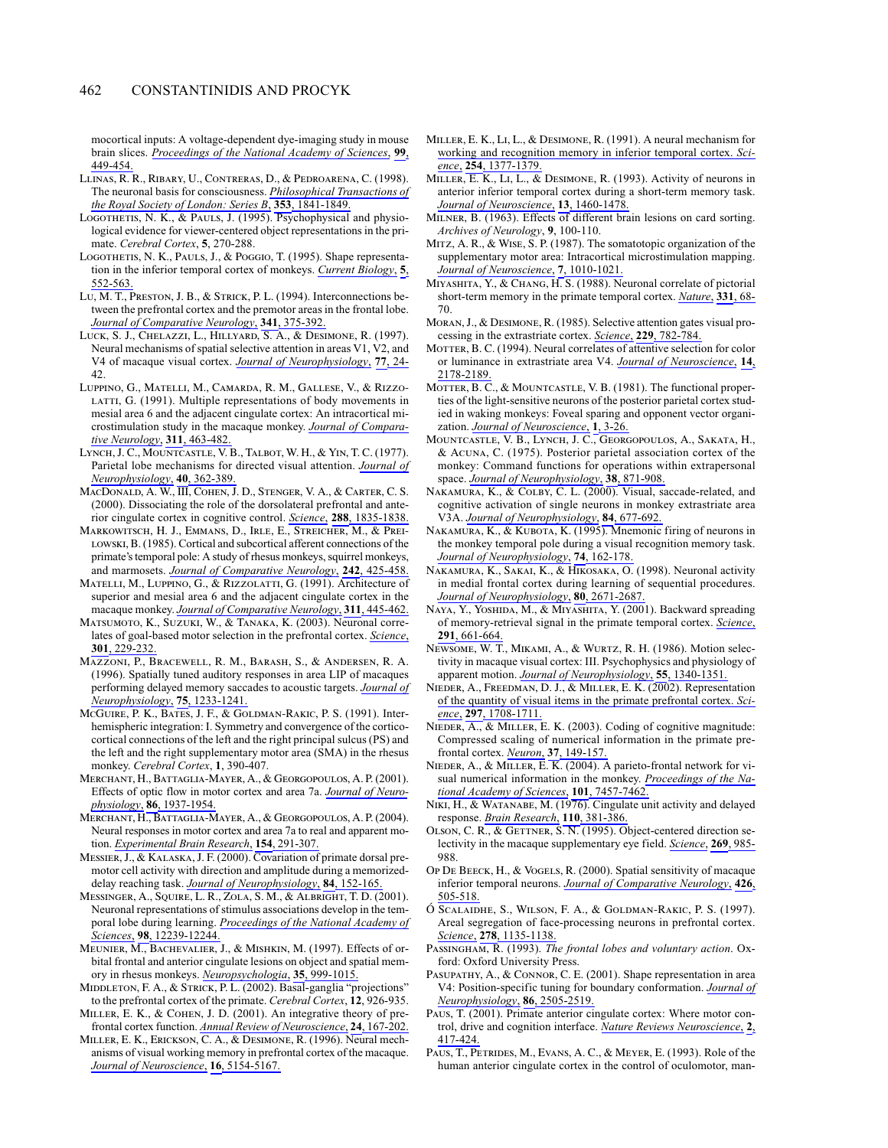mocortical inputs: A voltage-dependent dye-imaging study in mouse brain slices. Proceedings of the National Academy of Sciences, 99, 449-454.

- LLINAS, R. R., RIBARY, U., CONTRERAS, D., & PEDROARENA, C. (1998). The neuronal basis for consciousness. Philosophical Transactions of the Royal Society of London: Series B, 353, 1841-1849
- LOGOTHETIS, N. K., & PAULS, J. (1995). Psychophysical and physiological evidence for viewer-centered object representations in the primate. Cerebral Cortex, 5, 270-288.
- LOGOTHETIS, N. K., PAULS, J., & POGGIO, T. (1995). Shape representation in the inferior temporal cortex of monkeys. Current Biology, 5, 552-563.
- LU, M. T., PRESTON, J. B., & STRICK, P. L. (1994). Interconnections between the prefrontal cortex and the premotor areas in the frontal lobe. Journal of Comparative Neurology, 341, 375-392.
- LUCK, S. J., CHELAZZI, L., HILLYARD, S. A., & DESIMONE, R. (1997). Neural mechanisms of spatial selective attention in areas V1, V2, and V4 of macaque visual cortex. Journal of Neurophysiology, 77, 24-42.
- LUPPINO, G., MATELLI, M., CAMARDA, R. M., GALLESE, V., & RIZZO-LATTI, G. (1991). Multiple representations of body movements in mesial area 6 and the adjacent cingulate cortex: An intracortical microstimulation study in the macaque monkey. Journal of Comparative Neurology, 311, 463-482.
- LYNCH, J. C., MOUNTCASTLE, V. B., TALBOT, W. H., & YIN, T. C. (1977). Parietal lobe mechanisms for directed visual attention. Journal of Neurophysiology, 40, 362-389.
- MACDONALD, A. W., **III**, COHEN, J. D., STENGER, V. A., & CARTER, C. S. (2000). Dissociating the role of the dorsolateral prefrontal and anterior cingulate cortex in cognitive control. Science, 288, 1835-1838.
- MARKOWITSCH, H. J., EMMANS, D., IRLE, E., STREICHER, M., & PREI-LOWSKI, B. (1985). Cortical and subcortical afferent connections of the primate's temporal pole: A study of rhesus monkeys, squirrel monkeys, and marmosets. Journal of Comparative Neurology, 242, 425-458.
- MATELLI, M., LUPPINO, G., & RIZZOLATTI, G. (1991). Architecture of superior and mesial area 6 and the adjacent cingulate cortex in the macaque monkey. Journal of Comparative Neurology, 311, 445-462.
- MATSUMOTO, K., SUZUKI, W., & TANAKA, K. (2003). Neuronal correlates of goal-based motor selection in the prefrontal cortex. Science, 301, 229-232.
- MAZZONI, P., BRACEWELL, R. M., BARASH, S., & ANDERSEN, R. A. (1996). Spatially tuned auditory responses in area LIP of macaques performing delayed memory saccades to acoustic targets. Journal of Neurophysiology, 75, 1233-1241.
- MCGUIRE, P. K., BATES, J. F., & GOLDMAN-RAKIC, P. S. (1991). Interhemispheric integration: I. Symmetry and convergence of the corticocortical connections of the left and the right principal sulcus (PS) and the left and the right supplementary motor area (SMA) in the rhesus monkey. Cerebral Cortex, 1, 390-407.
- MERCHANT, H., BATTAGLIA-MAYER, A., & GEORGOPOULOS, A. P. (2001). Effects of optic flow in motor cortex and area 7a. Journal of Neurophysiology, 86, 1937-1954.
- MERCHANT, H., BATTAGLIA-MAYER, A., & GEORGOPOULOS, A. P. (2004). Neural responses in motor cortex and area 7a to real and apparent motion. Experimental Brain Research, 154, 291-307.
- MESSIER, J., & KALASKA, J. F. (2000). Covariation of primate dorsal premotor cell activity with direction and amplitude during a memorizeddelay reaching task. Journal of Neurophysiology, 84, 152-165.
- MESSINGER, A., SQUIRE, L. R., ZOLA, S. M., & ALBRIGHT, T. D. (2001). Neuronal representations of stimulus associations develop in the temporal lobe during learning. Proceedings of the National Academy of Sciences, 98, 12239-12244.
- MEUNIER, M., BACHEVALIER, J., & MISHKIN, M. (1997). Effects of orbital frontal and anterior cingulate lesions on object and spatial memory in rhesus monkeys. Neuropsychologia, 35, 999-1015.
- MIDDLETON, F. A., & STRICK, P. L. (2002). Basal-ganglia "projections" to the prefrontal cortex of the primate. Cerebral Cortex, 12, 926-935.
- MILLER, E. K., & COHEN, J. D. (2001). An integrative theory of prefrontal cortex function. Annual Review of Neuroscience, 24, 167-202.
- MILLER, E. K., ERICKSON, C. A., & DESIMONE, R. (1996). Neural mechanisms of visual working memory in prefrontal cortex of the macaque. Journal of Neuroscience, 16, 5154-5167.
- MILLER, E. K., LI, L., & DESIMONE, R. (1991). A neural mechanism for working and recognition memory in inferior temporal cortex. Science, 254, 1377-1379.
- MILLER, E. K., Li, L., & DESIMONE, R. (1993). Activity of neurons in anterior inferior temporal cortex during a short-term memory task. Journal of Neuroscience, 13, 1460-1478.
- MILNER, B. (1963). Effects of different brain lesions on card sorting. Archives of Neurology, 9, 100-110.
- MITZ, A. R., & WISE, S. P. (1987). The somatotopic organization of the supplementary motor area: Intracortical microstimulation mapping. Journal of Neuroscience, 7, 1010-1021.
- MIYASHITA, Y., & CHANG, H. S. (1988). Neuronal correlate of pictorial short-term memory in the primate temporal cortex. Nature, 331, 68-70.
- MORAN, J., & DESIMONE, R. (1985). Selective attention gates visual processing in the extrastriate cortex. Science, 229, 782-784.
- MOTTER, B. C. (1994). Neural correlates of attentive selection for color or luminance in extrastriate area V4. Journal of Neuroscience, 14, 2178-2189.
- MOTTER, B. C., & MOUNTCASTLE, V. B. (1981). The functional properties of the light-sensitive neurons of the posterior parietal cortex studied in waking monkeys: Foveal sparing and opponent vector organization. Journal of Neuroscience, 1, 3-26.
- MOUNTCASTLE, V. B., LYNCH, J. C., GEORGOPOULOS, A., SAKATA, H., & ACUNA, C. (1975). Posterior parietal association cortex of the monkey: Command functions for operations within extrapersonal space. Journal of Neurophysiology, 38, 871-908.
- NAKAMURA, K., & COLBY, C. L. (2000). Visual, saccade-related, and cognitive activation of single neurons in monkey extrastriate area V3A. Journal of Neurophysiology, 84, 677-692.
- NAKAMURA, K., & KUBOTA, K. (1995). Mnemonic firing of neurons in the monkey temporal pole during a visual recognition memory task. Journal of Neurophysiology, 74, 162-178.
- NAKAMURA, K., SAKAI, K., & HIKOSAKA, O. (1998). Neuronal activity in medial frontal cortex during learning of sequential procedures. Journal of Neurophysiology, 80, 2671-2687.
- NAYA, Y., YOSHIDA, M., & MIYASHITA, Y. (2001). Backward spreading of memory-retrieval signal in the primate temporal cortex. Science, 291, 661-664.
- NEWSOME, W. T., MIKAMI, A., & WURTZ, R. H. (1986). Motion selectivity in macaque visual cortex: III. Psychophysics and physiology of apparent motion. Journal of Neurophysiology, 55, 1340-1351.
- NIEDER, A., FREEDMAN, D. J., & MILLER, E. K. (2002). Representation of the quantity of visual items in the primate prefrontal cortex. Science, 297, 1708-1711.
- NIEDER,  $\overline{A}$ , & MILLER, E. K. (2003). Coding of cognitive magnitude: Compressed scaling of numerical information in the primate prefrontal cortex. Neuron, 37, 149-157.
- NIEDER, A., & MILLER, E. K. (2004). A parieto-frontal network for visual numerical information in the monkey. Proceedings of the National Academy of Sciences, 101, 7457-7462.
- NIKI, H., & WATANABE, M. (1976). Cingulate unit activity and delayed response. Brain Research, 110, 381-386.
- OLSON, C. R., & GETTNER, S. N. (1995). Object-centered direction selectivity in the macaque supplementary eye field. Science, 269, 985-988.
- OP DE BEECK, H., & VOGELS, R. (2000). Spatial sensitivity of macaque inferior temporal neurons. Journal of Comparative Neurology, 426, 505-518.
- Ó SCALAIDHE, S., WILSON, F. A., & GOLDMAN-RAKIC, P. S. (1997). Areal segregation of face-processing neurons in prefrontal cortex. Science, 278, 1135-1138.
- PASSINGHAM, R. (1993). The frontal lobes and voluntary action. Oxford: Oxford University Press.
- PASUPATHY, A., & CONNOR, C. E. (2001). Shape representation in area V4: Position-specific tuning for boundary conformation. Journal of Neurophysiology, 86, 2505-2519.
- PAUS, T. (2001). Primate anterior cingulate cortex: Where motor control, drive and cognition interface. Nature Reviews Neuroscience, 2, 417-424.
- PAUS, T., PETRIDES, M., EVANS, A. C., & MEYER, E. (1993). Role of the human anterior cingulate cortex in the control of oculomotor, man-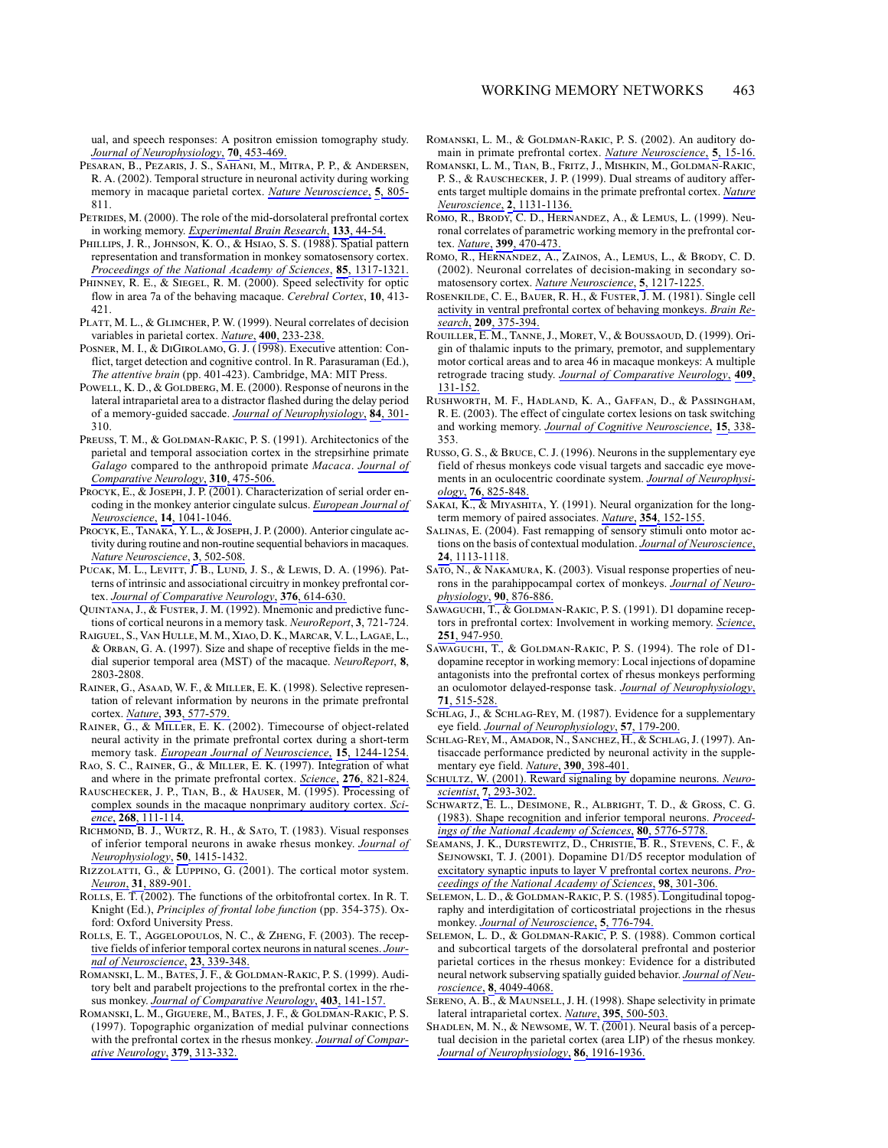ual, and speech responses: A positron emission tomography study. Journal of Neurophysiology, 70, 453-469.

- PESARAN, B., PEZARIS, J. S., SAHANI, M., MITRA, P. P., & ANDERSEN, R. A. (2002). Temporal structure in neuronal activity during working memory in macaque parietal cortex. Nature Neuroscience, 5, 805-811.
- PETRIDES, M. (2000). The role of the mid-dorsolateral prefrontal cortex in working memory. Experimental Brain Research, 133, 44-54.
- PHILLIPS, J. R., JOHNSON, K. O., & HSIAO, S. S. (1988). Spatial pattern representation and transformation in monkey somatosensory cortex. Proceedings of the National Academy of Sciences, 85, 1317-1321.
- PHINNEY, R. E., & SIEGEL, R. M. (2000). Speed selectivity for optic flow in area 7a of the behaving macaque. Cerebral Cortex, 10, 413-421.
- PLATT, M. L., & GLIMCHER, P. W. (1999). Neural correlates of decision variables in parietal cortex. Nature, 400, 233-238.
- POSNER, M. I., & DIGIROLAMO, G. J. (1998). Executive attention: Conflict, target detection and cognitive control. In R. Parasuraman (Ed.), The attentive brain (pp. 401-423). Cambridge, MA: MIT Press.
- POWELL, K. D., & GOLDBERG, M. E. (2000). Response of neurons in the lateral intraparietal area to a distractor flashed during the delay period of a memory-guided saccade. Journal of Neurophysiology, 84, 301-310.
- PREUSS, T. M., & GOLDMAN-RAKIC, P. S. (1991). Architectonics of the parietal and temporal association cortex in the strepsirhine primate Galago compared to the anthropoid primate Macaca. Journal of Comparative Neurology, 310, 475-506.
- PROCYK, E., & JOSEPH, J. P. (2001). Characterization of serial order encoding in the monkey anterior cingulate sulcus. European Journal of Neuroscience, 14, 1041-1046.
- PROCYK, E., TANAKA, Y.L., & JOSEPH, J.P. (2000). Anterior cingulate activity during routine and non-routine sequential behaviors in macaques. Nature Neuroscience, 3, 502-508.
- PUCAK, M. L., LEVITT, J. B., LUND, J. S., & LEWIS, D. A. (1996). Patterns of intrinsic and associational circuitry in monkey prefrontal cortex. Journal of Comparative Neurology, 376, 614-630.
- QUINTANA, J., & FUSTER, J. M. (1992). Mnemonic and predictive functions of cortical neurons in a memory task. NeuroReport, 3, 721-724.
- RAIGUEL, S., VAN HULLE, M. M., XIAO, D. K., MARCAR, V. L., LAGAE, L., & ORBAN, G. A. (1997). Size and shape of receptive fields in the medial superior temporal area (MST) of the macaque. NeuroReport, 8, 2803-2808.
- RAINER, G., ASAAD, W. F., & MILLER, E. K. (1998). Selective representation of relevant information by neurons in the primate prefrontal cortex. Nature, 393, 577-579.
- RAINER,  $\overline{G}$ ., & MILLER, E. K. (2002). Timecourse of object-related neural activity in the primate prefrontal cortex during a short-term memory task. European Journal of Neuroscience, 15, 1244-1254.
- RAO, S. C., RAINER, G., & MILLER, E. K. (1997). Integration of what and where in the primate prefrontal cortex. Science, 276, 821-824.
- RAUSCHECKER, J. P., TIAN, B., & HAUSER, M. (1995). Processing of complex sounds in the macaque nonprimary auditory cortex. Science, 268, 111-114.
- RICHMOND, B. J., WURTZ, R. H., & SATO, T. (1983). Visual responses of inferior temporal neurons in awake rhesus monkey. Journal of Neurophysiology, 50, 1415-1432.
- RIZZOLATTI, G., & LUPPINO, G. (2001). The cortical motor system. Neuron, 31, 889-901.
- ROLLS, E. T.  $(2002)$ . The functions of the orbitofrontal cortex. In R. T. Knight (Ed.), Principles of frontal lobe function (pp. 354-375). Oxford: Oxford University Press.
- ROLLS, E. T., AGGELOPOULOS, N. C., & ZHENG, F. (2003). The receptive fields of inferior temporal cortex neurons in natural scenes. Journal of Neuroscience, 23, 339-348.
- ROMANSKI, L. M., BATES, J. F., & GOLDMAN-RAKIC, P. S. (1999). Auditory belt and parabelt projections to the prefrontal cortex in the rhesus monkey. Journal of Comparative Neurology, 403, 141-157.
- ROMANSKI, L. M., GIGUERE, M., BATES, J. F., & GOLDMAN-RAKIC, P. S. (1997). Topographic organization of medial pulvinar connections with the prefrontal cortex in the rhesus monkey. Journal of Comparative Neurology, 379, 313-332.
- ROMANSKI, L. M., & GOLDMAN-RAKIC, P. S. (2002). An auditory domain in primate prefrontal cortex. Nature Neuroscience, 5, 15-16.
- ROMANSKI, L. M., TIAN, B., FRITZ, J., MISHKIN, M., GOLDMAN-RAKIC, P. S., & RAUSCHECKER, J. P. (1999). Dual streams of auditory afferents target multiple domains in the primate prefrontal cortex. Nature Neuroscience, 2, 1131-1136.
- ROMO, R., BRODY, C. D., HERNANDEZ, A., & LEMUS, L. (1999). Neuronal correlates of parametric working memory in the prefrontal cortex. Nature, 399, 470-473.
- ROMO, R., HERNANDEZ, A., ZAINOS, A., LEMUS, L., & BRODY, C. D. (2002). Neuronal correlates of decision-making in secondary somatosensory cortex. Nature Neuroscience, 5, 1217-1225.
- ROSENKILDE, C. E., BAUER, R. H., & FUSTER, J. M. (1981). Single cell activity in ventral prefrontal cortex of behaving monkeys. Brain Research, 209, 375-394.
- ROUILLER, E. M., TANNE, J., MORET, V., & BOUSSAOUD, D. (1999). Origin of thalamic inputs to the primary, premotor, and supplementary motor cortical areas and to area 46 in macaque monkeys: A multiple retrograde tracing study. Journal of Comparative Neurology, 409, 131-152.
- RUSHWORTH, M. F., HADLAND, K. A., GAFFAN, D., & PASSINGHAM, R. E. (2003). The effect of cingulate cortex lesions on task switching and working memory. Journal of Cognitive Neuroscience, 15, 338-353
- RUSSO, G. S., & BRUCE, C. J. (1996). Neurons in the supplementary eye field of rhesus monkeys code visual targets and saccadic eye movements in an oculocentric coordinate system. Journal of Neurophysiology, 76, 825-848.
- SAKAI, K., & MIYASHITA, Y. (1991). Neural organization for the longterm memory of paired associates. Nature, 354, 152-155.
- SALINAS, E. (2004). Fast remapping of sensory stimuli onto motor actions on the basis of contextual modulation. Journal of Neuroscience, 24, 1113-1118.
- SATO, N., & NAKAMURA, K. (2003). Visual response properties of neurons in the parahippocampal cortex of monkeys. Journal of Neurophysiology, 90, 876-886.
- SAWAGUCHI, T., & GOLDMAN-RAKIC, P. S. (1991). D1 dopamine receptors in prefrontal cortex: Involvement in working memory. Science, 251, 947-950.
- SAWAGUCHI, T., & GOLDMAN-RAKIC, P. S. (1994). The role of D1dopamine receptor in working memory: Local injections of dopamine antagonists into the prefrontal cortex of rhesus monkeys performing an oculomotor delayed-response task. Journal of Neurophysiology, 71, 515-528.
- SCHLAG, J., & SCHLAG-REY, M. (1987). Evidence for a supplementary eye field. Journal of Neurophysiology, 57, 179-200.
- SCHLAG-REY, M., AMADOR, N., SANCHEZ, H., & SCHLAG, J. (1997). Antisaccade performance predicted by neuronal activity in the supplementary eye field. Nature, 390, 398-401.
- SCHULTZ, W. (2001). Reward signaling by dopamine neurons. Neuroscientist, 7, 293-302.
- SCHWARTZ, E. L., DESIMONE, R., ALBRIGHT, T. D., & GROSS, C. G. (1983). Shape recognition and inferior temporal neurons. Proceedings of the National Academy of Sciences, 80, 5776-5778.
- SEAMANS, J. K., DURSTEWITZ, D., CHRISTIE, B. R., STEVENS, C. F., & SEJNOWSKI, T. J. (2001). Dopamine D1/D5 receptor modulation of excitatory synaptic inputs to layer V prefrontal cortex neurons. Proceedings of the National Academy of Sciences, 98, 301-306.
- SELEMON, L. D., & GOLDMAN-RAKIC, P. S. (1985). Longitudinal topography and interdigitation of corticostriatal projections in the rhesus monkey. Journal of Neuroscience, 5, 776-794.
- SELEMON, L. D., & GOLDMAN-RAKIC, P. S. (1988). Common cortical and subcortical targets of the dorsolateral prefrontal and posterior parietal cortices in the rhesus monkey: Evidence for a distributed neural network subserving spatially guided behavior. Journal of Neuroscience, 8, 4049-4068.
- SERENO, A. B., & MAUNSELL, J. H. (1998). Shape selectivity in primate lateral intraparietal cortex. Nature, 395, 500-503.
- SHADLEN, M. N., & NEWSOME, W. T. (2001). Neural basis of a perceptual decision in the parietal cortex (area LIP) of the rhesus monkey. Journal of Neurophysiology, 86, 1916-1936.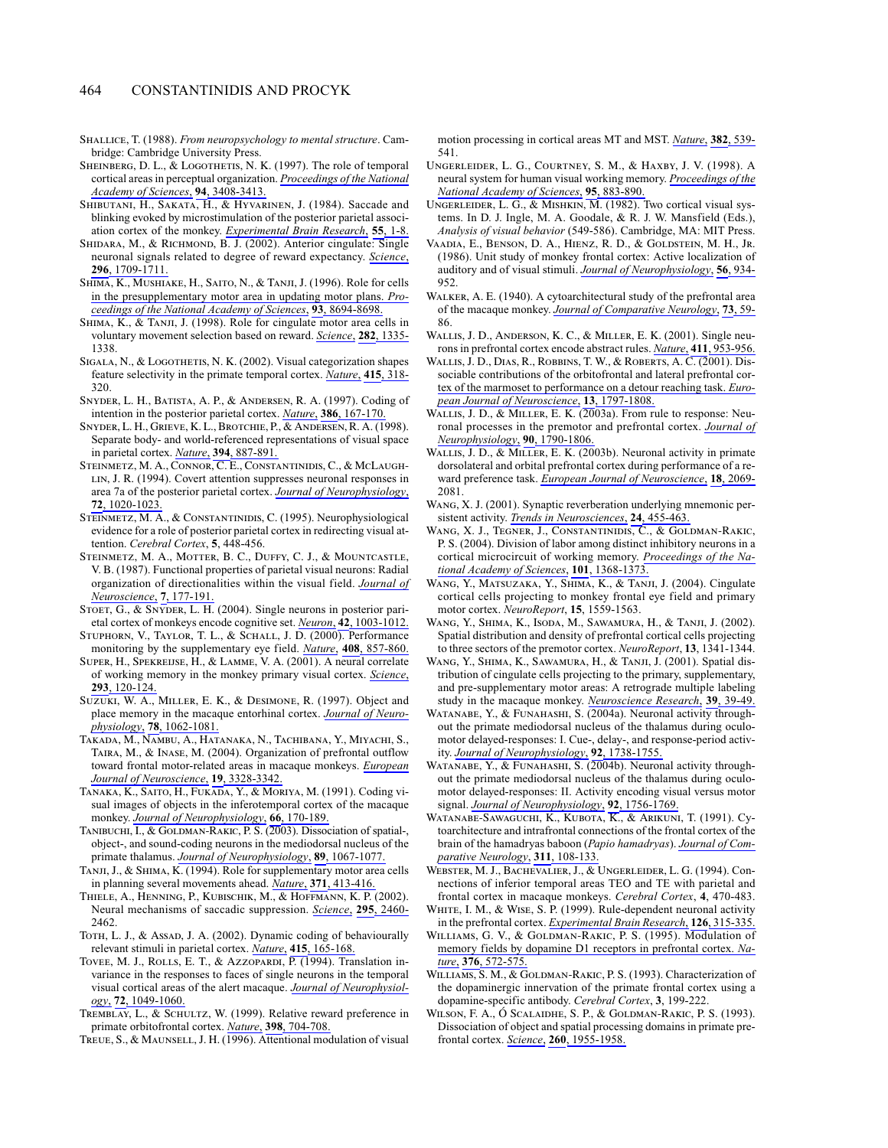- SHALLICE, T. (1988). From neuropsychology to mental structure. Cambridge: Cambridge University Press.
- SHEINBERG, D. L., & LOGOTHETIS, N. K. (1997). The role of temporal cortical areas in perceptual organization. Proceedings of the National Academy of Sciences, 94, 3408-3413.
- SHIBUTANI, H., SAKATA, H., & HYVARINEN, J. (1984). Saccade and blinking evoked by microstimulation of the posterior parietal association cortex of the monkey. Experimental Brain Research, 55, 1-8.
- SHIDARA, M., & RICHMOND, B. J. (2002). Anterior cingulate: Single neuronal signals related to degree of reward expectancy. Science, 296, 1709-1711.
- SHIMA, K., MUSHIAKE, H., SAITO, N., & TANJI, J. (1996). Role for cells in the presupplementary motor area in updating motor plans. Proceedings of the National Academy of Sciences, 93, 8694-8698.
- SHIMA, K., & TANJI, J. (1998). Role for cingulate motor area cells in voluntary movement selection based on reward. Science, 282, 1335-1338
- SIGALA, N., & LOGOTHETIS, N. K. (2002). Visual categorization shapes feature selectivity in the primate temporal cortex. Nature, 415, 318-320.
- SNYDER, L. H., BATISTA, A. P., & ANDERSEN, R. A. (1997). Coding of intention in the posterior parietal cortex. Nature, 386, 167-170.
- SNYDER, L. H., GRIEVE, K. L., BROTCHIE, P., & ANDERSEN, R. A. (1998). Separate body- and world-referenced representations of visual space in parietal cortex. Nature, 394, 887-891.
- STEINMETZ, M. A., CONNOR, C. E., CONSTANTINIDIS, C., & MCLAUGH-LIN, J. R. (1994). Covert attention suppresses neuronal responses in area 7a of the posterior parietal cortex. Journal of Neurophysiology, 72, 1020-1023.
- STEINMETZ, M. A., & CONSTANTINIDIS, C. (1995). Neurophysiological evidence for a role of posterior parietal cortex in redirecting visual attention. Cerebral Cortex, 5, 448-456.
- STEINMETZ, M. A., MOTTER, B. C., DUFFY, C. J., & MOUNTCASTLE, V. B. (1987). Functional properties of parietal visual neurons: Radial organization of directionalities within the visual field. Journal of Neuroscience, 7, 177-191.
- STOET, G., & SNYDER, L. H. (2004). Single neurons in posterior parietal cortex of monkeys encode cognitive set. *Neuron*, 42, 1003-1012.
- STUPHORN, V., TAYLOR, T. L., & SCHALL, J. D. (2000). Performance monitoring by the supplementary eye field. Nature, 408, 857-860.
- SUPER, H., SPEKREIJSE, H., & LAMME, V. A. (2001). A neural correlate of working memory in the monkey primary visual cortex. Science, 293, 120-124.
- SUZUKI, W. A., MILLER, E. K., & DESIMONE, R. (1997). Object and place memory in the macaque entorhinal cortex. Journal of Neurophysiology, 78, 1062-1081.
- TAKADA, M., NAMBU, A., HATANAKA, N., TACHIBANA, Y., MIYACHI, S., TAIRA, M., & INASE, M. (2004). Organization of prefrontal outflow toward frontal motor-related areas in macaque monkeys. European Journal of Neuroscience, 19, 3328-3342.
- TANAKA, K., SAITO, H., FUKADA, Y., & MORIYA, M. (1991). Coding visual images of objects in the inferotemporal cortex of the macaque monkey. Journal of Neurophysiology, 66, 170-189.
- TANIBUCHI, I., & GOLDMAN-RAKIC, P. S. (2003). Dissociation of spatial-, object-, and sound-coding neurons in the mediodorsal nucleus of the primate thalamus. Journal of Neurophysiology, 89, 1067-1077.
- TANJI, J., & SHIMA, K. (1994). Role for supplementary motor area cells in planning several movements ahead. Nature, 371, 413-416.
- THIELE, A., HENNING, P., KUBISCHIK, M., & HOFFMANN, K. P. (2002). Neural mechanisms of saccadic suppression. Science, 295, 2460-2462.
- Тотн, L. J., & Assap, J. A. (2002). Dynamic coding of behaviourally relevant stimuli in parietal cortex. Nature, 415, 165-168.
- TOVEE, M. J., ROLLS, E. T., & AZZOPARDI, P. (1994). Translation invariance in the responses to faces of single neurons in the temporal visual cortical areas of the alert macaque. Journal of Neurophysiology, 72, 1049-1060.
- TREMBLAY, L., & SCHULTZ, W. (1999). Relative reward preference in primate orbitofrontal cortex. *Nature*, 398, 704-708.
- TREUE, S., & MAUNSELL, J. H. (1996). Attentional modulation of visual

motion processing in cortical areas MT and MST. Nature, 382, 539-541.

- UNGERLEIDER, L. G., COURTNEY, S. M., & HAXBY, J. V. (1998). A neural system for human visual working memory. Proceedings of the National Academy of Sciences, 95, 883-890.
- UNGERLEIDER, L. G., & MISHKIN, M. (1982). Two cortical visual systems. In D. J. Ingle, M. A. Goodale, & R. J. W. Mansfield (Eds.), Analysis of visual behavior (549-586). Cambridge, MA: MIT Press.
- VAADIA, E., BENSON, D. A., HIENZ, R. D., & GOLDSTEIN, M. H., JR. (1986). Unit study of monkey frontal cortex: Active localization of auditory and of visual stimuli. Journal of Neurophysiology, 56, 934-952
- WALKER, A. E. (1940). A cytoarchitectural study of the prefrontal area of the macaque monkey. Journal of Comparative Neurology, 73, 59-86
- WALLIS, J. D., ANDERSON, K. C., & MILLER, E. K. (2001). Single neurons in prefrontal cortex encode abstract rules. Nature, 411, 953-956.
- WALLIS, J. D., DIAS, R., ROBBINS, T. W., & ROBERTS, A. C. (2001). Dissociable contributions of the orbitofrontal and lateral prefrontal cortex of the marmoset to performance on a detour reaching task. European Journal of Neuroscience, 13, 1797-1808.
- WALLIS, J. D., & MILLER, E. K. (2003a). From rule to response: Neuronal processes in the premotor and prefrontal cortex. Journal of Neurophysiology, 90, 1790-1806.
- WALLIS, J. D., & MILLER, E. K. (2003b). Neuronal activity in primate dorsolateral and orbital prefrontal cortex during performance of a reward preference task. European Journal of Neuroscience, 18, 2069-2081.
- WANG, X. J. (2001). Synaptic reverberation underlying mnemonic persistent activity. Trends in Neurosciences, 24, 455-463.
- WANG, X. J., TEGNER, J., CONSTANTINIDIS, C., & GOLDMAN-RAKIC, P. S. (2004). Division of labor among distinct inhibitory neurons in a cortical microcircuit of working memory. Proceedings of the National Academy of Sciences, 101, 1368-1373.
- WANG, Y., MATSUZAKA, Y., SHIMA, K., & TANJI, J. (2004). Cingulate cortical cells projecting to monkey frontal eye field and primary motor cortex. NeuroReport, 15, 1559-1563.
- WANG, Y., SHIMA, K., ISODA, M., SAWAMURA, H., & TANJI, J. (2002). Spatial distribution and density of prefrontal cortical cells projecting to three sectors of the premotor cortex. NeuroReport, 13, 1341-1344.
- WANG, Y., SHIMA, K., SAWAMURA, H., & TANJI, J. (2001). Spatial distribution of cingulate cells projecting to the primary, supplementary, and pre-supplementary motor areas: A retrograde multiple labeling study in the macaque monkey. Neuroscience Research, 39, 39-49.
- WATANABE, Y., & FUNAHASHI, S. (2004a). Neuronal activity throughout the primate mediodorsal nucleus of the thalamus during oculomotor delayed-responses: I. Cue-, delay-, and response-period activity. Journal of Neurophysiology, 92, 1738-1755.
- WATANABE, Y., & FUNAHASHI, S. (2004b). Neuronal activity throughout the primate mediodorsal nucleus of the thalamus during oculomotor delayed-responses: II. Activity encoding visual versus motor signal. Journal of Neurophysiology, 92, 1756-1769.
- WATANABE-SAWAGUCHI, K., KUBOTA, K., & ARIKUNI, T. (1991). Cytoarchitecture and intrafrontal connections of the frontal cortex of the brain of the hamadryas baboon (Papio hamadryas). Journal of Comparative Neurology, 311, 108-133.
- WEBSTER, M. J., BACHEVALIER, J., & UNGERLEIDER, L. G. (1994). Connections of inferior temporal areas TEO and TE with parietal and frontal cortex in macaque monkeys. Cerebral Cortex, 4, 470-483.
- WHITE, I. M., & WISE, S. P. (1999). Rule-dependent neuronal activity in the prefrontal cortex. Experimental Brain Research, 126, 315-335.
- WILLIAMS, G. V., & GOLDMAN-RAKIC, P. S. (1995). Modulation of memory fields by dopamine D1 receptors in prefrontal cortex. Nature, 376, 572-575.
- WILLIAMS, S. M., & GOLDMAN-RAKIC, P. S. (1993). Characterization of the dopaminergic innervation of the primate frontal cortex using a dopamine-specific antibody. Cerebral Cortex, 3, 199-222.
- WILSON, F. A., Ó SCALAIDHE, S. P., & GOLDMAN-RAKIC, P. S. (1993). Dissociation of object and spatial processing domains in primate prefrontal cortex. Science, 260, 1955-1958.